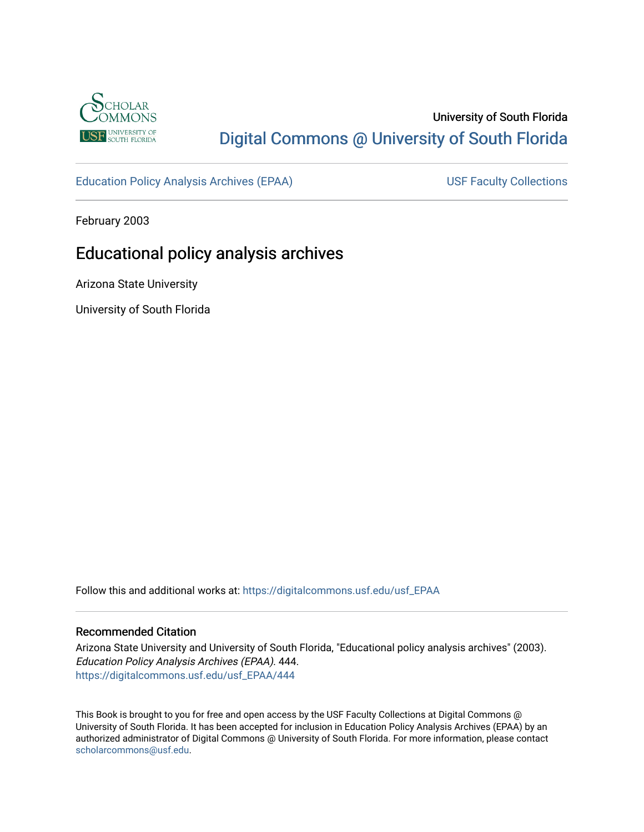

# University of South Florida [Digital Commons @ University of South Florida](https://digitalcommons.usf.edu/)

[Education Policy Analysis Archives \(EPAA\)](https://digitalcommons.usf.edu/usf_EPAA) USF Faculty Collections

February 2003

# Educational policy analysis archives

Arizona State University

University of South Florida

Follow this and additional works at: [https://digitalcommons.usf.edu/usf\\_EPAA](https://digitalcommons.usf.edu/usf_EPAA?utm_source=digitalcommons.usf.edu%2Fusf_EPAA%2F444&utm_medium=PDF&utm_campaign=PDFCoverPages)

#### Recommended Citation

Arizona State University and University of South Florida, "Educational policy analysis archives" (2003). Education Policy Analysis Archives (EPAA). 444. [https://digitalcommons.usf.edu/usf\\_EPAA/444](https://digitalcommons.usf.edu/usf_EPAA/444?utm_source=digitalcommons.usf.edu%2Fusf_EPAA%2F444&utm_medium=PDF&utm_campaign=PDFCoverPages)

This Book is brought to you for free and open access by the USF Faculty Collections at Digital Commons @ University of South Florida. It has been accepted for inclusion in Education Policy Analysis Archives (EPAA) by an authorized administrator of Digital Commons @ University of South Florida. For more information, please contact [scholarcommons@usf.edu.](mailto:scholarcommons@usf.edu)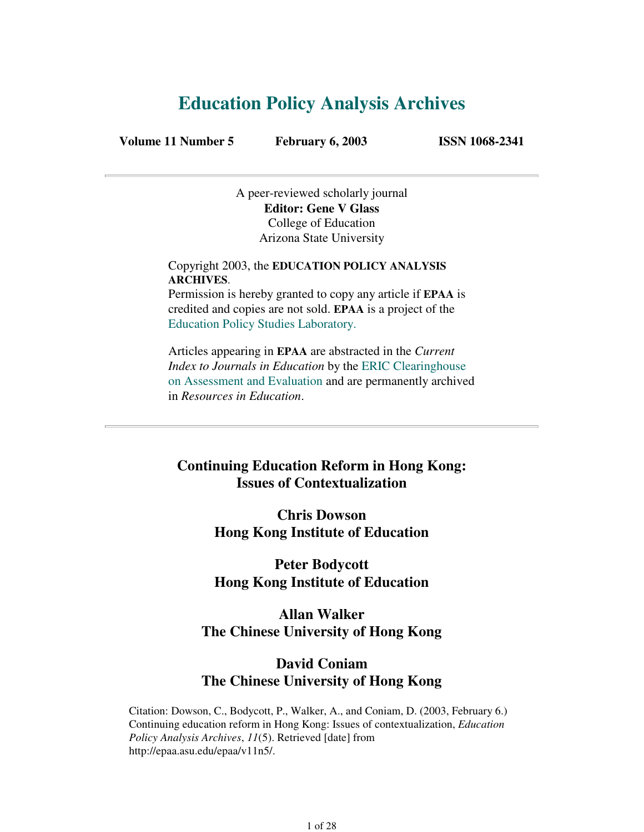# **Education Policy Analysis Archives**

**Volume 11 Number 5 February 6, 2003 ISSN 1068-2341**

A peer-reviewed scholarly journal **Editor: Gene V Glass** College of Education Arizona State University

Copyright 2003, the **EDUCATION POLICY ANALYSIS ARCHIVES**. Permission is hereby granted to copy any article if **EPAA** is

credited and copies are not sold. **EPAA** is a project of the Education Policy Studies Laboratory.

Articles appearing in **EPAA** are abstracted in the *Current Index to Journals in Education* by the ERIC Clearinghouse on Assessment and Evaluation and are permanently archived in *Resources in Education*.

## **Continuing Education Reform in Hong Kong: Issues of Contextualization**

**Chris Dowson Hong Kong Institute of Education**

**Peter Bodycott Hong Kong Institute of Education**

**Allan Walker The Chinese University of Hong Kong**

### **David Coniam The Chinese University of Hong Kong**

Citation: Dowson, C., Bodycott, P., Walker, A., and Coniam, D. (2003, February 6.) Continuing education reform in Hong Kong: Issues of contextualization, *Education Policy Analysis Archives*, *11*(5). Retrieved [date] from http://epaa.asu.edu/epaa/v11n5/.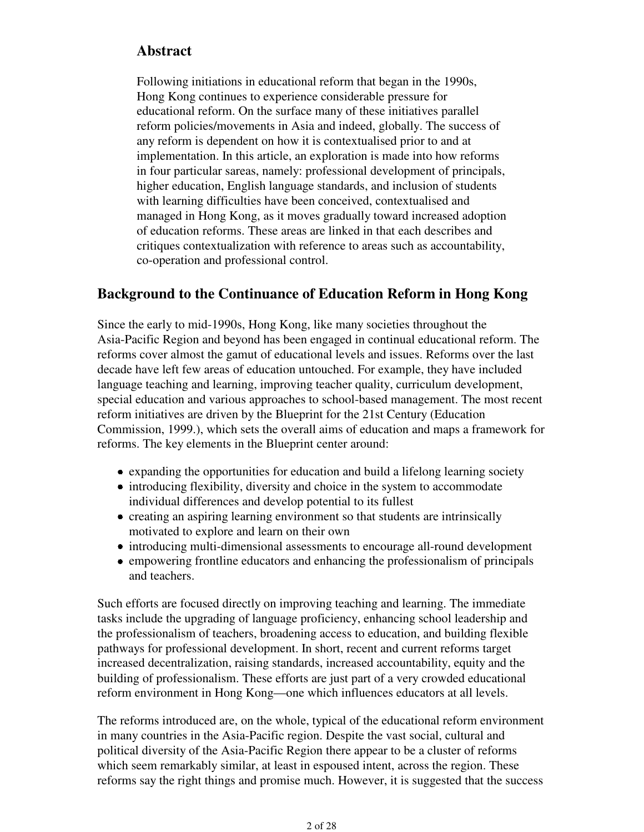### **Abstract**

Following initiations in educational reform that began in the 1990s, Hong Kong continues to experience considerable pressure for educational reform. On the surface many of these initiatives parallel reform policies/movements in Asia and indeed, globally. The success of any reform is dependent on how it is contextualised prior to and at implementation. In this article, an exploration is made into how reforms in four particular sareas, namely: professional development of principals, higher education, English language standards, and inclusion of students with learning difficulties have been conceived, contextualised and managed in Hong Kong, as it moves gradually toward increased adoption of education reforms. These areas are linked in that each describes and critiques contextualization with reference to areas such as accountability, co-operation and professional control.

### **Background to the Continuance of Education Reform in Hong Kong**

Since the early to mid-1990s, Hong Kong, like many societies throughout the Asia-Pacific Region and beyond has been engaged in continual educational reform. The reforms cover almost the gamut of educational levels and issues. Reforms over the last decade have left few areas of education untouched. For example, they have included language teaching and learning, improving teacher quality, curriculum development, special education and various approaches to school-based management. The most recent reform initiatives are driven by the Blueprint for the 21st Century (Education Commission, 1999.), which sets the overall aims of education and maps a framework for reforms. The key elements in the Blueprint center around:

- expanding the opportunities for education and build a lifelong learning society
- introducing flexibility, diversity and choice in the system to accommodate individual differences and develop potential to its fullest
- creating an aspiring learning environment so that students are intrinsically motivated to explore and learn on their own
- introducing multi-dimensional assessments to encourage all-round development
- empowering frontline educators and enhancing the professionalism of principals and teachers.

Such efforts are focused directly on improving teaching and learning. The immediate tasks include the upgrading of language proficiency, enhancing school leadership and the professionalism of teachers, broadening access to education, and building flexible pathways for professional development. In short, recent and current reforms target increased decentralization, raising standards, increased accountability, equity and the building of professionalism. These efforts are just part of a very crowded educational reform environment in Hong Kong—one which influences educators at all levels.

The reforms introduced are, on the whole, typical of the educational reform environment in many countries in the Asia-Pacific region. Despite the vast social, cultural and political diversity of the Asia-Pacific Region there appear to be a cluster of reforms which seem remarkably similar, at least in espoused intent, across the region. These reforms say the right things and promise much. However, it is suggested that the success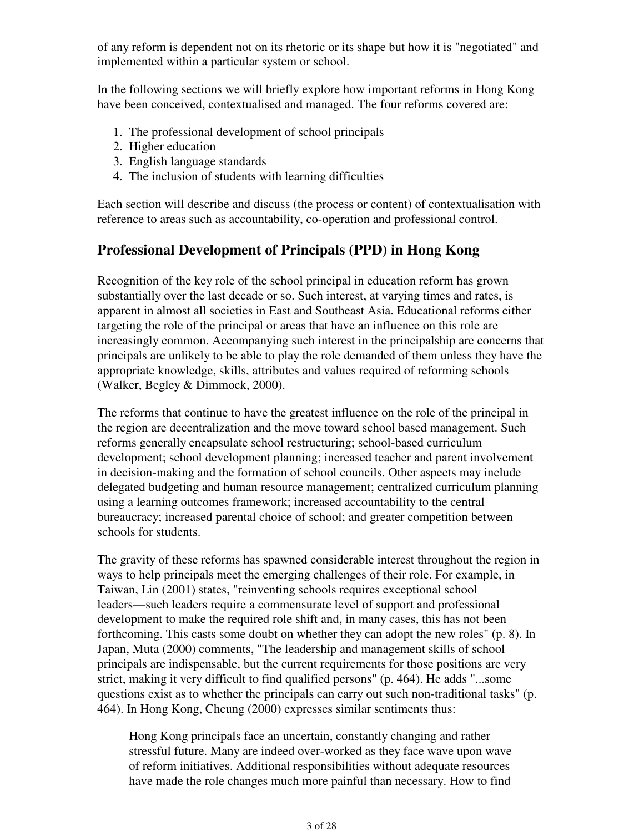of any reform is dependent not on its rhetoric or its shape but how it is "negotiated" and implemented within a particular system or school.

In the following sections we will briefly explore how important reforms in Hong Kong have been conceived, contextualised and managed. The four reforms covered are:

- 1. The professional development of school principals
- 2. Higher education
- 3. English language standards
- 4. The inclusion of students with learning difficulties

Each section will describe and discuss (the process or content) of contextualisation with reference to areas such as accountability, co-operation and professional control.

## **Professional Development of Principals (PPD) in Hong Kong**

Recognition of the key role of the school principal in education reform has grown substantially over the last decade or so. Such interest, at varying times and rates, is apparent in almost all societies in East and Southeast Asia. Educational reforms either targeting the role of the principal or areas that have an influence on this role are increasingly common. Accompanying such interest in the principalship are concerns that principals are unlikely to be able to play the role demanded of them unless they have the appropriate knowledge, skills, attributes and values required of reforming schools (Walker, Begley & Dimmock, 2000).

The reforms that continue to have the greatest influence on the role of the principal in the region are decentralization and the move toward school based management. Such reforms generally encapsulate school restructuring; school-based curriculum development; school development planning; increased teacher and parent involvement in decision-making and the formation of school councils. Other aspects may include delegated budgeting and human resource management; centralized curriculum planning using a learning outcomes framework; increased accountability to the central bureaucracy; increased parental choice of school; and greater competition between schools for students.

The gravity of these reforms has spawned considerable interest throughout the region in ways to help principals meet the emerging challenges of their role. For example, in Taiwan, Lin (2001) states, "reinventing schools requires exceptional school leaders—such leaders require a commensurate level of support and professional development to make the required role shift and, in many cases, this has not been forthcoming. This casts some doubt on whether they can adopt the new roles" (p. 8). In Japan, Muta (2000) comments, "The leadership and management skills of school principals are indispensable, but the current requirements for those positions are very strict, making it very difficult to find qualified persons" (p. 464). He adds "...some questions exist as to whether the principals can carry out such non-traditional tasks" (p. 464). In Hong Kong, Cheung (2000) expresses similar sentiments thus:

Hong Kong principals face an uncertain, constantly changing and rather stressful future. Many are indeed over-worked as they face wave upon wave of reform initiatives. Additional responsibilities without adequate resources have made the role changes much more painful than necessary. How to find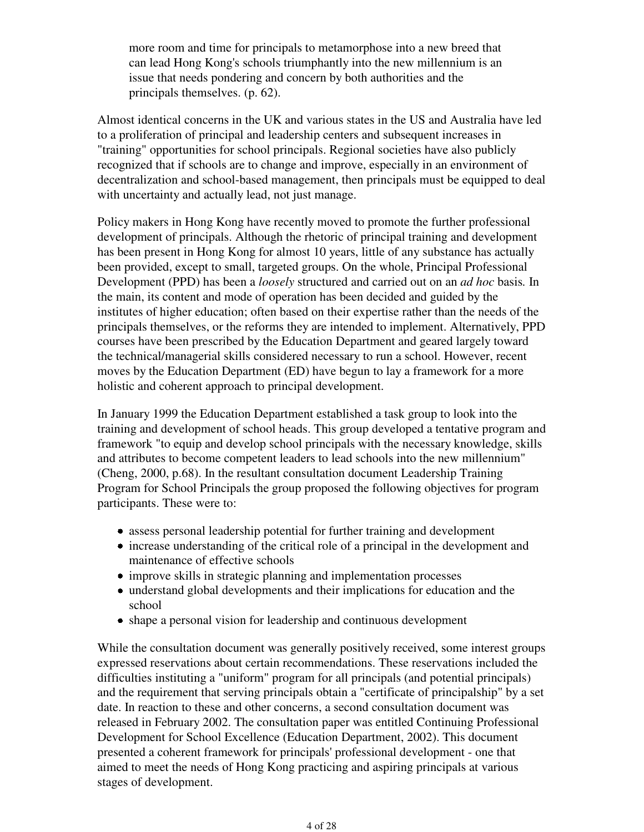more room and time for principals to metamorphose into a new breed that can lead Hong Kong's schools triumphantly into the new millennium is an issue that needs pondering and concern by both authorities and the principals themselves. (p. 62).

Almost identical concerns in the UK and various states in the US and Australia have led to a proliferation of principal and leadership centers and subsequent increases in "training" opportunities for school principals. Regional societies have also publicly recognized that if schools are to change and improve, especially in an environment of decentralization and school-based management, then principals must be equipped to deal with uncertainty and actually lead, not just manage.

Policy makers in Hong Kong have recently moved to promote the further professional development of principals. Although the rhetoric of principal training and development has been present in Hong Kong for almost 10 years, little of any substance has actually been provided, except to small, targeted groups. On the whole, Principal Professional Development (PPD) has been a *loosely* structured and carried out on an *ad hoc* basis*.* In the main, its content and mode of operation has been decided and guided by the institutes of higher education; often based on their expertise rather than the needs of the principals themselves, or the reforms they are intended to implement. Alternatively, PPD courses have been prescribed by the Education Department and geared largely toward the technical/managerial skills considered necessary to run a school. However, recent moves by the Education Department (ED) have begun to lay a framework for a more holistic and coherent approach to principal development.

In January 1999 the Education Department established a task group to look into the training and development of school heads. This group developed a tentative program and framework "to equip and develop school principals with the necessary knowledge, skills and attributes to become competent leaders to lead schools into the new millennium" (Cheng, 2000, p.68). In the resultant consultation document Leadership Training Program for School Principals the group proposed the following objectives for program participants. These were to:

- assess personal leadership potential for further training and development
- increase understanding of the critical role of a principal in the development and maintenance of effective schools
- improve skills in strategic planning and implementation processes
- understand global developments and their implications for education and the school
- shape a personal vision for leadership and continuous development

While the consultation document was generally positively received, some interest groups expressed reservations about certain recommendations. These reservations included the difficulties instituting a "uniform" program for all principals (and potential principals) and the requirement that serving principals obtain a "certificate of principalship" by a set date. In reaction to these and other concerns, a second consultation document was released in February 2002. The consultation paper was entitled Continuing Professional Development for School Excellence (Education Department, 2002). This document presented a coherent framework for principals' professional development - one that aimed to meet the needs of Hong Kong practicing and aspiring principals at various stages of development.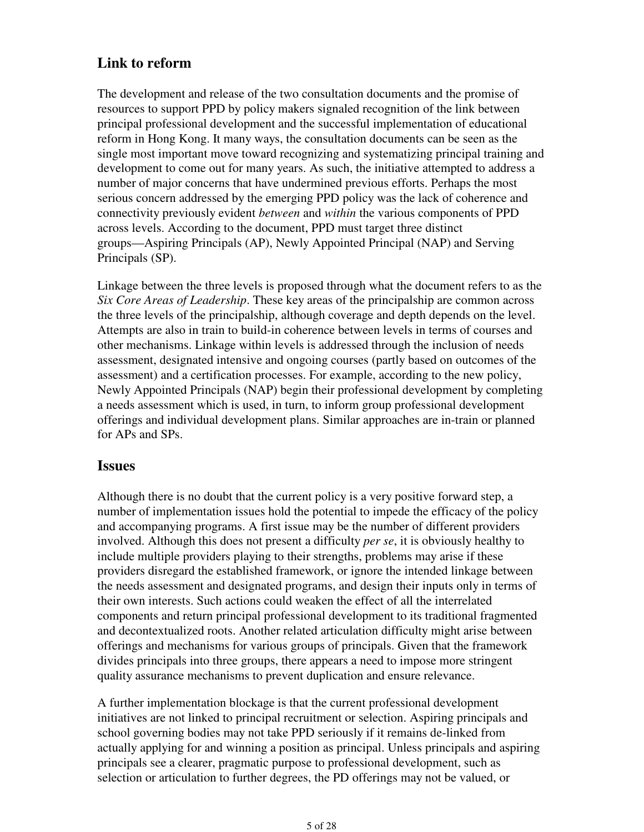## **Link to reform**

The development and release of the two consultation documents and the promise of resources to support PPD by policy makers signaled recognition of the link between principal professional development and the successful implementation of educational reform in Hong Kong. It many ways, the consultation documents can be seen as the single most important move toward recognizing and systematizing principal training and development to come out for many years. As such, the initiative attempted to address a number of major concerns that have undermined previous efforts. Perhaps the most serious concern addressed by the emerging PPD policy was the lack of coherence and connectivity previously evident *between* and *within* the various components of PPD across levels. According to the document, PPD must target three distinct groups—Aspiring Principals (AP), Newly Appointed Principal (NAP) and Serving Principals (SP).

Linkage between the three levels is proposed through what the document refers to as the *Six Core Areas of Leadership*. These key areas of the principalship are common across the three levels of the principalship, although coverage and depth depends on the level. Attempts are also in train to build-in coherence between levels in terms of courses and other mechanisms. Linkage within levels is addressed through the inclusion of needs assessment, designated intensive and ongoing courses (partly based on outcomes of the assessment) and a certification processes. For example, according to the new policy, Newly Appointed Principals (NAP) begin their professional development by completing a needs assessment which is used, in turn, to inform group professional development offerings and individual development plans. Similar approaches are in-train or planned for APs and SPs.

### **Issues**

Although there is no doubt that the current policy is a very positive forward step, a number of implementation issues hold the potential to impede the efficacy of the policy and accompanying programs. A first issue may be the number of different providers involved. Although this does not present a difficulty *per se*, it is obviously healthy to include multiple providers playing to their strengths, problems may arise if these providers disregard the established framework, or ignore the intended linkage between the needs assessment and designated programs, and design their inputs only in terms of their own interests. Such actions could weaken the effect of all the interrelated components and return principal professional development to its traditional fragmented and decontextualized roots. Another related articulation difficulty might arise between offerings and mechanisms for various groups of principals. Given that the framework divides principals into three groups, there appears a need to impose more stringent quality assurance mechanisms to prevent duplication and ensure relevance.

A further implementation blockage is that the current professional development initiatives are not linked to principal recruitment or selection. Aspiring principals and school governing bodies may not take PPD seriously if it remains de-linked from actually applying for and winning a position as principal. Unless principals and aspiring principals see a clearer, pragmatic purpose to professional development, such as selection or articulation to further degrees, the PD offerings may not be valued, or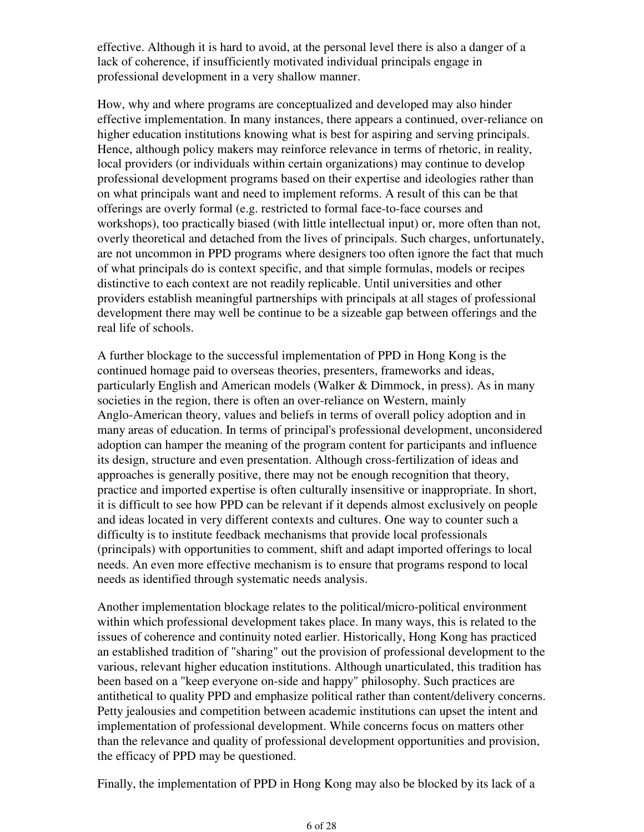effective. Although it is hard to avoid, at the personal level there is also a danger of a lack of coherence, if insufficiently motivated individual principals engage in professional development in a very shallow manner.

How, why and where programs are conceptualized and developed may also hinder effective implementation. In many instances, there appears a continued, over-reliance on higher education institutions knowing what is best for aspiring and serving principals. Hence, although policy makers may reinforce relevance in terms of rhetoric, in reality, local providers (or individuals within certain organizations) may continue to develop professional development programs based on their expertise and ideologies rather than on what principals want and need to implement reforms. A result of this can be that offerings are overly formal (e.g. restricted to formal face-to-face courses and workshops), too practically biased (with little intellectual input) or, more often than not, overly theoretical and detached from the lives of principals. Such charges, unfortunately, are not uncommon in PPD programs where designers too often ignore the fact that much of what principals do is context specific, and that simple formulas, models or recipes distinctive to each context are not readily replicable. Until universities and other providers establish meaningful partnerships with principals at all stages of professional development there may well be continue to be a sizeable gap between offerings and the real life of schools.

A further blockage to the successful implementation of PPD in Hong Kong is the continued homage paid to overseas theories, presenters, frameworks and ideas, particularly English and American models (Walker & Dimmock, in press). As in many societies in the region, there is often an over-reliance on Western, mainly Anglo-American theory, values and beliefs in terms of overall policy adoption and in many areas of education. In terms of principal's professional development, unconsidered adoption can hamper the meaning of the program content for participants and influence its design, structure and even presentation. Although cross-fertilization of ideas and approaches is generally positive, there may not be enough recognition that theory, practice and imported expertise is often culturally insensitive or inappropriate. In short, it is difficult to see how PPD can be relevant if it depends almost exclusively on people and ideas located in very different contexts and cultures. One way to counter such a difficulty is to institute feedback mechanisms that provide local professionals (principals) with opportunities to comment, shift and adapt imported offerings to local needs. An even more effective mechanism is to ensure that programs respond to local needs as identified through systematic needs analysis.

Another implementation blockage relates to the political/micro-political environment within which professional development takes place. In many ways, this is related to the issues of coherence and continuity noted earlier. Historically, Hong Kong has practiced an established tradition of "sharing" out the provision of professional development to the various, relevant higher education institutions. Although unarticulated, this tradition has been based on a "keep everyone on-side and happy" philosophy. Such practices are antithetical to quality PPD and emphasize political rather than content/delivery concerns. Petty jealousies and competition between academic institutions can upset the intent and implementation of professional development. While concerns focus on matters other than the relevance and quality of professional development opportunities and provision, the efficacy of PPD may be questioned.

Finally, the implementation of PPD in Hong Kong may also be blocked by its lack of a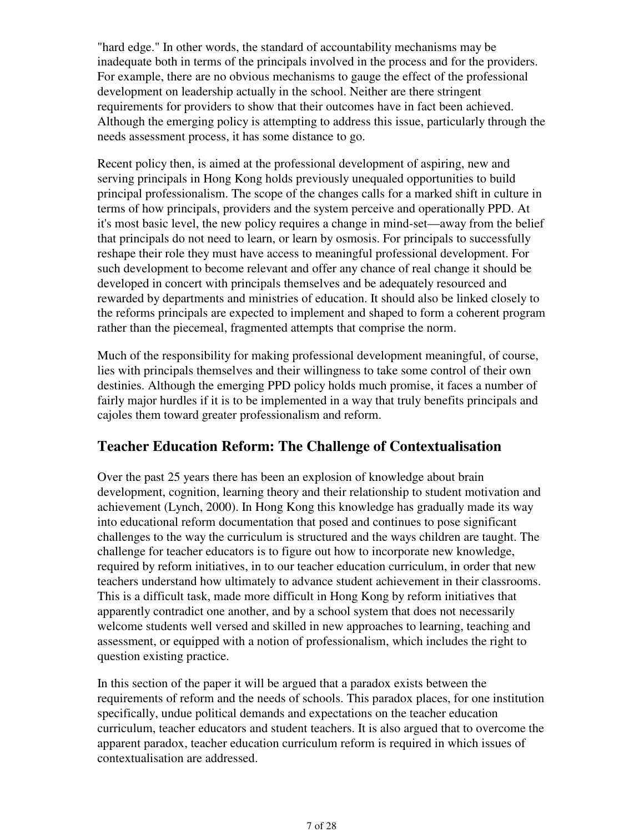"hard edge." In other words, the standard of accountability mechanisms may be inadequate both in terms of the principals involved in the process and for the providers. For example, there are no obvious mechanisms to gauge the effect of the professional development on leadership actually in the school. Neither are there stringent requirements for providers to show that their outcomes have in fact been achieved. Although the emerging policy is attempting to address this issue, particularly through the needs assessment process, it has some distance to go.

Recent policy then, is aimed at the professional development of aspiring, new and serving principals in Hong Kong holds previously unequaled opportunities to build principal professionalism. The scope of the changes calls for a marked shift in culture in terms of how principals, providers and the system perceive and operationally PPD. At it's most basic level, the new policy requires a change in mind-set—away from the belief that principals do not need to learn, or learn by osmosis. For principals to successfully reshape their role they must have access to meaningful professional development. For such development to become relevant and offer any chance of real change it should be developed in concert with principals themselves and be adequately resourced and rewarded by departments and ministries of education. It should also be linked closely to the reforms principals are expected to implement and shaped to form a coherent program rather than the piecemeal, fragmented attempts that comprise the norm.

Much of the responsibility for making professional development meaningful, of course, lies with principals themselves and their willingness to take some control of their own destinies. Although the emerging PPD policy holds much promise, it faces a number of fairly major hurdles if it is to be implemented in a way that truly benefits principals and cajoles them toward greater professionalism and reform.

## **Teacher Education Reform: The Challenge of Contextualisation**

Over the past 25 years there has been an explosion of knowledge about brain development, cognition, learning theory and their relationship to student motivation and achievement (Lynch, 2000). In Hong Kong this knowledge has gradually made its way into educational reform documentation that posed and continues to pose significant challenges to the way the curriculum is structured and the ways children are taught. The challenge for teacher educators is to figure out how to incorporate new knowledge, required by reform initiatives, in to our teacher education curriculum, in order that new teachers understand how ultimately to advance student achievement in their classrooms. This is a difficult task, made more difficult in Hong Kong by reform initiatives that apparently contradict one another, and by a school system that does not necessarily welcome students well versed and skilled in new approaches to learning, teaching and assessment, or equipped with a notion of professionalism, which includes the right to question existing practice.

In this section of the paper it will be argued that a paradox exists between the requirements of reform and the needs of schools. This paradox places, for one institution specifically, undue political demands and expectations on the teacher education curriculum, teacher educators and student teachers. It is also argued that to overcome the apparent paradox, teacher education curriculum reform is required in which issues of contextualisation are addressed.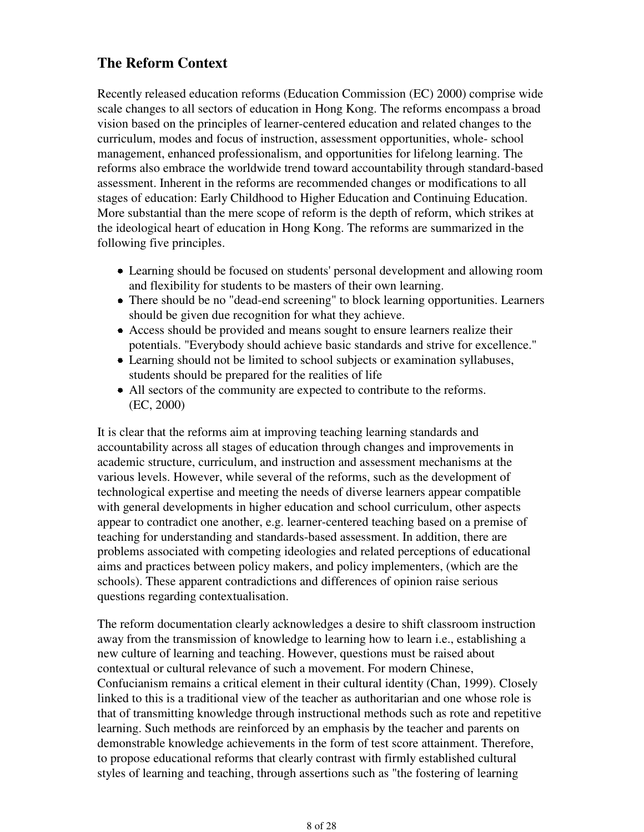## **The Reform Context**

Recently released education reforms (Education Commission (EC) 2000) comprise wide scale changes to all sectors of education in Hong Kong. The reforms encompass a broad vision based on the principles of learner-centered education and related changes to the curriculum, modes and focus of instruction, assessment opportunities, whole- school management, enhanced professionalism, and opportunities for lifelong learning. The reforms also embrace the worldwide trend toward accountability through standard-based assessment. Inherent in the reforms are recommended changes or modifications to all stages of education: Early Childhood to Higher Education and Continuing Education. More substantial than the mere scope of reform is the depth of reform, which strikes at the ideological heart of education in Hong Kong. The reforms are summarized in the following five principles.

- Learning should be focused on students' personal development and allowing room and flexibility for students to be masters of their own learning.
- There should be no "dead-end screening" to block learning opportunities. Learners should be given due recognition for what they achieve.
- Access should be provided and means sought to ensure learners realize their potentials. "Everybody should achieve basic standards and strive for excellence."
- Learning should not be limited to school subjects or examination syllabuses, students should be prepared for the realities of life
- All sectors of the community are expected to contribute to the reforms. (EC, 2000)

It is clear that the reforms aim at improving teaching learning standards and accountability across all stages of education through changes and improvements in academic structure, curriculum, and instruction and assessment mechanisms at the various levels. However, while several of the reforms, such as the development of technological expertise and meeting the needs of diverse learners appear compatible with general developments in higher education and school curriculum, other aspects appear to contradict one another, e.g. learner-centered teaching based on a premise of teaching for understanding and standards-based assessment. In addition, there are problems associated with competing ideologies and related perceptions of educational aims and practices between policy makers, and policy implementers, (which are the schools). These apparent contradictions and differences of opinion raise serious questions regarding contextualisation.

The reform documentation clearly acknowledges a desire to shift classroom instruction away from the transmission of knowledge to learning how to learn i.e., establishing a new culture of learning and teaching. However, questions must be raised about contextual or cultural relevance of such a movement. For modern Chinese, Confucianism remains a critical element in their cultural identity (Chan, 1999). Closely linked to this is a traditional view of the teacher as authoritarian and one whose role is that of transmitting knowledge through instructional methods such as rote and repetitive learning. Such methods are reinforced by an emphasis by the teacher and parents on demonstrable knowledge achievements in the form of test score attainment. Therefore, to propose educational reforms that clearly contrast with firmly established cultural styles of learning and teaching, through assertions such as "the fostering of learning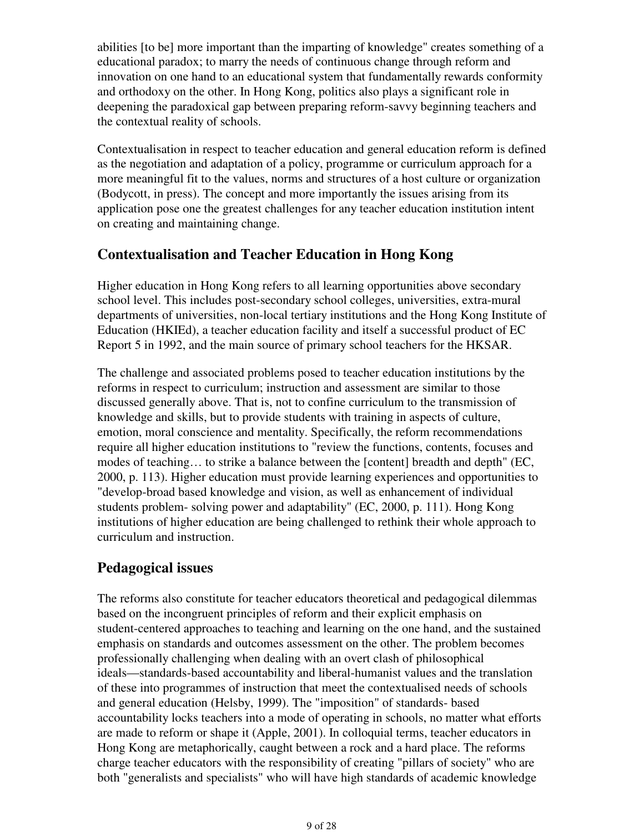abilities [to be] more important than the imparting of knowledge" creates something of a educational paradox; to marry the needs of continuous change through reform and innovation on one hand to an educational system that fundamentally rewards conformity and orthodoxy on the other. In Hong Kong, politics also plays a significant role in deepening the paradoxical gap between preparing reform-savvy beginning teachers and the contextual reality of schools.

Contextualisation in respect to teacher education and general education reform is defined as the negotiation and adaptation of a policy, programme or curriculum approach for a more meaningful fit to the values, norms and structures of a host culture or organization (Bodycott, in press). The concept and more importantly the issues arising from its application pose one the greatest challenges for any teacher education institution intent on creating and maintaining change.

### **Contextualisation and Teacher Education in Hong Kong**

Higher education in Hong Kong refers to all learning opportunities above secondary school level. This includes post-secondary school colleges, universities, extra-mural departments of universities, non-local tertiary institutions and the Hong Kong Institute of Education (HKIEd), a teacher education facility and itself a successful product of EC Report 5 in 1992, and the main source of primary school teachers for the HKSAR.

The challenge and associated problems posed to teacher education institutions by the reforms in respect to curriculum; instruction and assessment are similar to those discussed generally above. That is, not to confine curriculum to the transmission of knowledge and skills, but to provide students with training in aspects of culture, emotion, moral conscience and mentality. Specifically, the reform recommendations require all higher education institutions to "review the functions, contents, focuses and modes of teaching… to strike a balance between the [content] breadth and depth" (EC, 2000, p. 113). Higher education must provide learning experiences and opportunities to "develop-broad based knowledge and vision, as well as enhancement of individual students problem- solving power and adaptability" (EC, 2000, p. 111). Hong Kong institutions of higher education are being challenged to rethink their whole approach to curriculum and instruction.

## **Pedagogical issues**

The reforms also constitute for teacher educators theoretical and pedagogical dilemmas based on the incongruent principles of reform and their explicit emphasis on student-centered approaches to teaching and learning on the one hand, and the sustained emphasis on standards and outcomes assessment on the other. The problem becomes professionally challenging when dealing with an overt clash of philosophical ideals—standards-based accountability and liberal-humanist values and the translation of these into programmes of instruction that meet the contextualised needs of schools and general education (Helsby, 1999). The "imposition" of standards- based accountability locks teachers into a mode of operating in schools, no matter what efforts are made to reform or shape it (Apple, 2001). In colloquial terms, teacher educators in Hong Kong are metaphorically, caught between a rock and a hard place. The reforms charge teacher educators with the responsibility of creating "pillars of society" who are both "generalists and specialists" who will have high standards of academic knowledge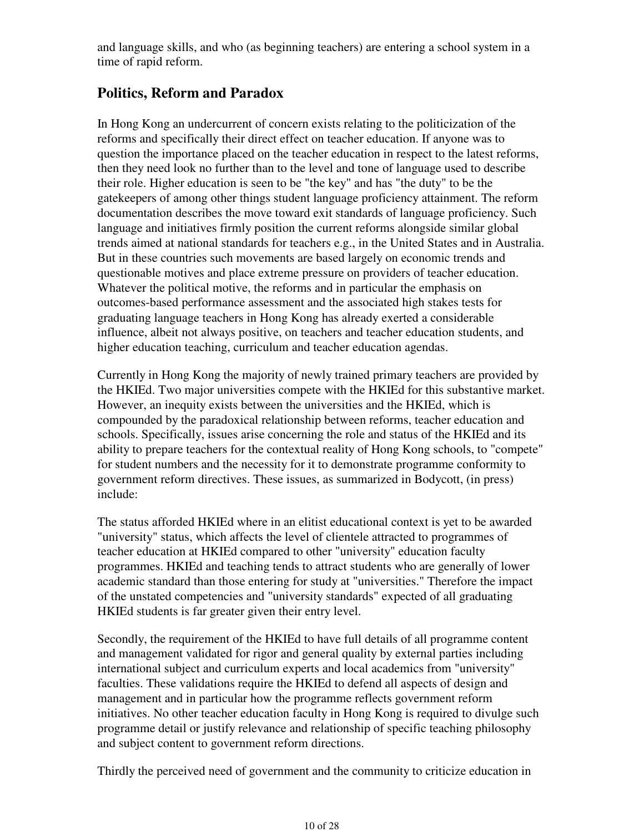and language skills, and who (as beginning teachers) are entering a school system in a time of rapid reform.

## **Politics, Reform and Paradox**

In Hong Kong an undercurrent of concern exists relating to the politicization of the reforms and specifically their direct effect on teacher education. If anyone was to question the importance placed on the teacher education in respect to the latest reforms, then they need look no further than to the level and tone of language used to describe their role. Higher education is seen to be "the key" and has "the duty" to be the gatekeepers of among other things student language proficiency attainment. The reform documentation describes the move toward exit standards of language proficiency. Such language and initiatives firmly position the current reforms alongside similar global trends aimed at national standards for teachers e.g., in the United States and in Australia. But in these countries such movements are based largely on economic trends and questionable motives and place extreme pressure on providers of teacher education. Whatever the political motive, the reforms and in particular the emphasis on outcomes-based performance assessment and the associated high stakes tests for graduating language teachers in Hong Kong has already exerted a considerable influence, albeit not always positive, on teachers and teacher education students, and higher education teaching, curriculum and teacher education agendas.

Currently in Hong Kong the majority of newly trained primary teachers are provided by the HKIEd. Two major universities compete with the HKIEd for this substantive market. However, an inequity exists between the universities and the HKIEd, which is compounded by the paradoxical relationship between reforms, teacher education and schools. Specifically, issues arise concerning the role and status of the HKIEd and its ability to prepare teachers for the contextual reality of Hong Kong schools, to "compete" for student numbers and the necessity for it to demonstrate programme conformity to government reform directives. These issues, as summarized in Bodycott, (in press) include:

The status afforded HKIEd where in an elitist educational context is yet to be awarded "university" status, which affects the level of clientele attracted to programmes of teacher education at HKIEd compared to other "university" education faculty programmes. HKIEd and teaching tends to attract students who are generally of lower academic standard than those entering for study at "universities." Therefore the impact of the unstated competencies and "university standards" expected of all graduating HKIEd students is far greater given their entry level.

Secondly, the requirement of the HKIEd to have full details of all programme content and management validated for rigor and general quality by external parties including international subject and curriculum experts and local academics from "university" faculties. These validations require the HKIEd to defend all aspects of design and management and in particular how the programme reflects government reform initiatives. No other teacher education faculty in Hong Kong is required to divulge such programme detail or justify relevance and relationship of specific teaching philosophy and subject content to government reform directions.

Thirdly the perceived need of government and the community to criticize education in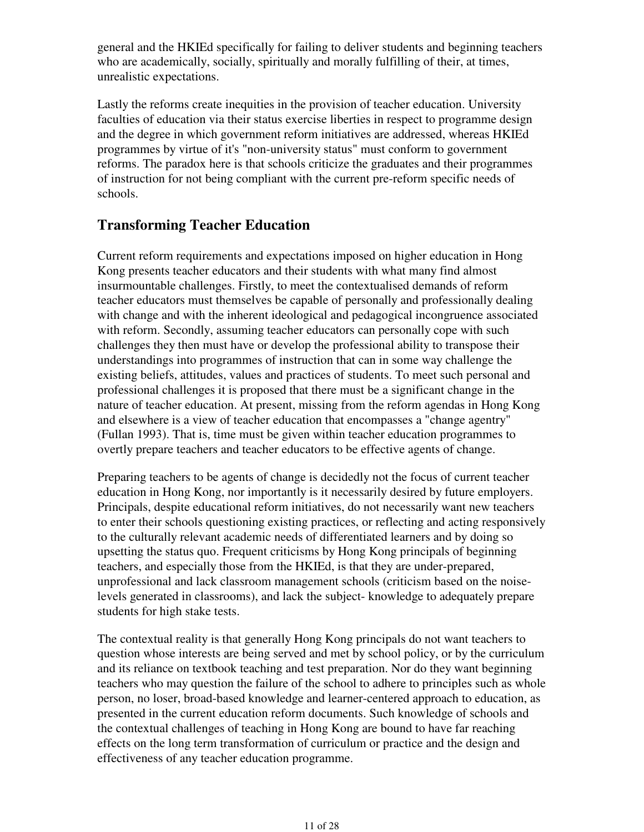general and the HKIEd specifically for failing to deliver students and beginning teachers who are academically, socially, spiritually and morally fulfilling of their, at times, unrealistic expectations.

Lastly the reforms create inequities in the provision of teacher education. University faculties of education via their status exercise liberties in respect to programme design and the degree in which government reform initiatives are addressed, whereas HKIEd programmes by virtue of it's "non-university status" must conform to government reforms. The paradox here is that schools criticize the graduates and their programmes of instruction for not being compliant with the current pre-reform specific needs of schools.

### **Transforming Teacher Education**

Current reform requirements and expectations imposed on higher education in Hong Kong presents teacher educators and their students with what many find almost insurmountable challenges. Firstly, to meet the contextualised demands of reform teacher educators must themselves be capable of personally and professionally dealing with change and with the inherent ideological and pedagogical incongruence associated with reform. Secondly, assuming teacher educators can personally cope with such challenges they then must have or develop the professional ability to transpose their understandings into programmes of instruction that can in some way challenge the existing beliefs, attitudes, values and practices of students. To meet such personal and professional challenges it is proposed that there must be a significant change in the nature of teacher education. At present, missing from the reform agendas in Hong Kong and elsewhere is a view of teacher education that encompasses a "change agentry" (Fullan 1993). That is, time must be given within teacher education programmes to overtly prepare teachers and teacher educators to be effective agents of change.

Preparing teachers to be agents of change is decidedly not the focus of current teacher education in Hong Kong, nor importantly is it necessarily desired by future employers. Principals, despite educational reform initiatives, do not necessarily want new teachers to enter their schools questioning existing practices, or reflecting and acting responsively to the culturally relevant academic needs of differentiated learners and by doing so upsetting the status quo. Frequent criticisms by Hong Kong principals of beginning teachers, and especially those from the HKIEd, is that they are under-prepared, unprofessional and lack classroom management schools (criticism based on the noiselevels generated in classrooms), and lack the subject- knowledge to adequately prepare students for high stake tests.

The contextual reality is that generally Hong Kong principals do not want teachers to question whose interests are being served and met by school policy, or by the curriculum and its reliance on textbook teaching and test preparation. Nor do they want beginning teachers who may question the failure of the school to adhere to principles such as whole person, no loser, broad-based knowledge and learner-centered approach to education, as presented in the current education reform documents. Such knowledge of schools and the contextual challenges of teaching in Hong Kong are bound to have far reaching effects on the long term transformation of curriculum or practice and the design and effectiveness of any teacher education programme.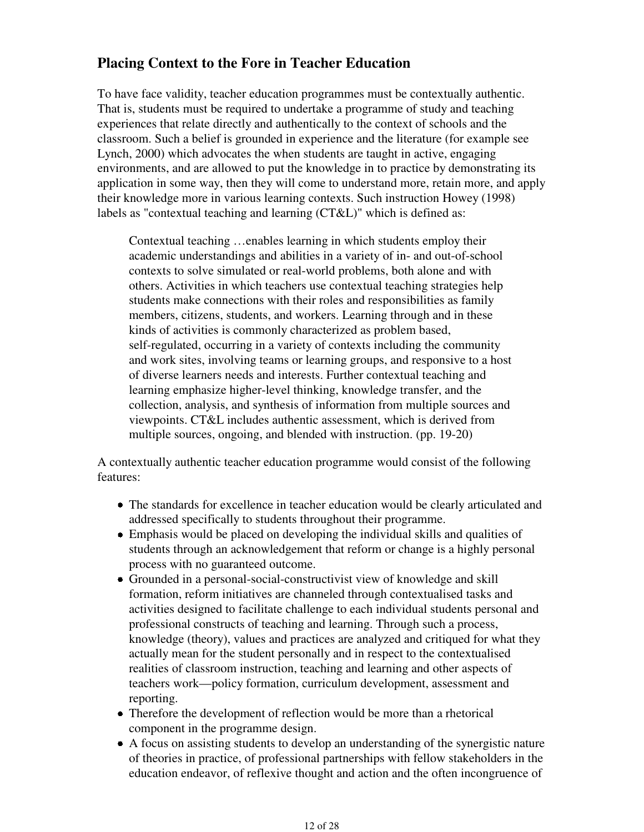## **Placing Context to the Fore in Teacher Education**

To have face validity, teacher education programmes must be contextually authentic. That is, students must be required to undertake a programme of study and teaching experiences that relate directly and authentically to the context of schools and the classroom. Such a belief is grounded in experience and the literature (for example see Lynch, 2000) which advocates the when students are taught in active, engaging environments, and are allowed to put the knowledge in to practice by demonstrating its application in some way, then they will come to understand more, retain more, and apply their knowledge more in various learning contexts. Such instruction Howey (1998) labels as "contextual teaching and learning (CT&L)" which is defined as:

Contextual teaching …enables learning in which students employ their academic understandings and abilities in a variety of in- and out-of-school contexts to solve simulated or real-world problems, both alone and with others. Activities in which teachers use contextual teaching strategies help students make connections with their roles and responsibilities as family members, citizens, students, and workers. Learning through and in these kinds of activities is commonly characterized as problem based, self-regulated, occurring in a variety of contexts including the community and work sites, involving teams or learning groups, and responsive to a host of diverse learners needs and interests. Further contextual teaching and learning emphasize higher-level thinking, knowledge transfer, and the collection, analysis, and synthesis of information from multiple sources and viewpoints. CT&L includes authentic assessment, which is derived from multiple sources, ongoing, and blended with instruction. (pp. 19-20)

A contextually authentic teacher education programme would consist of the following features:

- The standards for excellence in teacher education would be clearly articulated and addressed specifically to students throughout their programme.
- Emphasis would be placed on developing the individual skills and qualities of students through an acknowledgement that reform or change is a highly personal process with no guaranteed outcome.
- Grounded in a personal-social-constructivist view of knowledge and skill formation, reform initiatives are channeled through contextualised tasks and activities designed to facilitate challenge to each individual students personal and professional constructs of teaching and learning. Through such a process, knowledge (theory), values and practices are analyzed and critiqued for what they actually mean for the student personally and in respect to the contextualised realities of classroom instruction, teaching and learning and other aspects of teachers work—policy formation, curriculum development, assessment and reporting.
- Therefore the development of reflection would be more than a rhetorical component in the programme design.
- A focus on assisting students to develop an understanding of the synergistic nature of theories in practice, of professional partnerships with fellow stakeholders in the education endeavor, of reflexive thought and action and the often incongruence of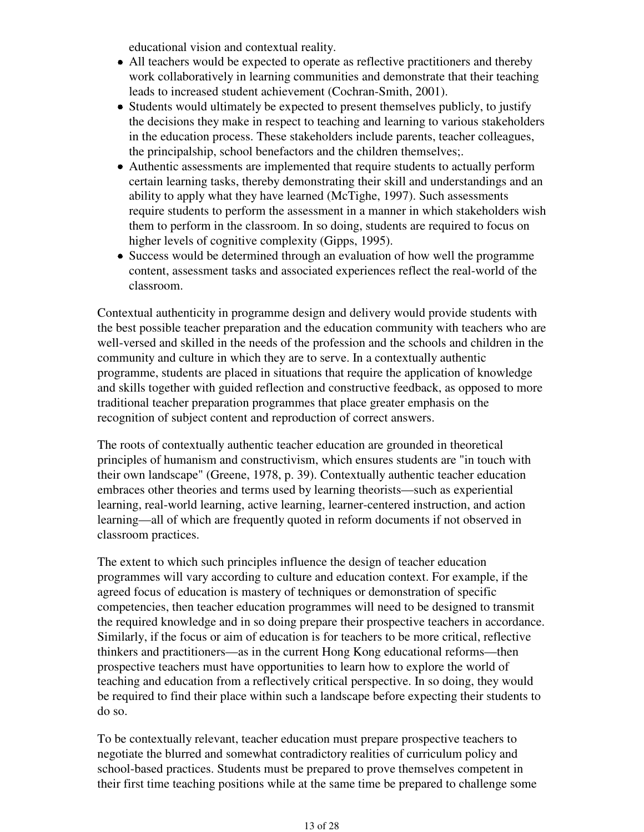educational vision and contextual reality.

- All teachers would be expected to operate as reflective practitioners and thereby work collaboratively in learning communities and demonstrate that their teaching leads to increased student achievement (Cochran-Smith, 2001).
- Students would ultimately be expected to present themselves publicly, to justify the decisions they make in respect to teaching and learning to various stakeholders in the education process. These stakeholders include parents, teacher colleagues, the principalship, school benefactors and the children themselves;.
- Authentic assessments are implemented that require students to actually perform certain learning tasks, thereby demonstrating their skill and understandings and an ability to apply what they have learned (McTighe, 1997). Such assessments require students to perform the assessment in a manner in which stakeholders wish them to perform in the classroom. In so doing, students are required to focus on higher levels of cognitive complexity (Gipps, 1995).
- Success would be determined through an evaluation of how well the programme content, assessment tasks and associated experiences reflect the real-world of the classroom.

Contextual authenticity in programme design and delivery would provide students with the best possible teacher preparation and the education community with teachers who are well-versed and skilled in the needs of the profession and the schools and children in the community and culture in which they are to serve. In a contextually authentic programme, students are placed in situations that require the application of knowledge and skills together with guided reflection and constructive feedback, as opposed to more traditional teacher preparation programmes that place greater emphasis on the recognition of subject content and reproduction of correct answers.

The roots of contextually authentic teacher education are grounded in theoretical principles of humanism and constructivism, which ensures students are "in touch with their own landscape" (Greene, 1978, p. 39). Contextually authentic teacher education embraces other theories and terms used by learning theorists—such as experiential learning, real-world learning, active learning, learner-centered instruction, and action learning—all of which are frequently quoted in reform documents if not observed in classroom practices.

The extent to which such principles influence the design of teacher education programmes will vary according to culture and education context. For example, if the agreed focus of education is mastery of techniques or demonstration of specific competencies, then teacher education programmes will need to be designed to transmit the required knowledge and in so doing prepare their prospective teachers in accordance. Similarly, if the focus or aim of education is for teachers to be more critical, reflective thinkers and practitioners—as in the current Hong Kong educational reforms—then prospective teachers must have opportunities to learn how to explore the world of teaching and education from a reflectively critical perspective. In so doing, they would be required to find their place within such a landscape before expecting their students to do so.

To be contextually relevant, teacher education must prepare prospective teachers to negotiate the blurred and somewhat contradictory realities of curriculum policy and school-based practices. Students must be prepared to prove themselves competent in their first time teaching positions while at the same time be prepared to challenge some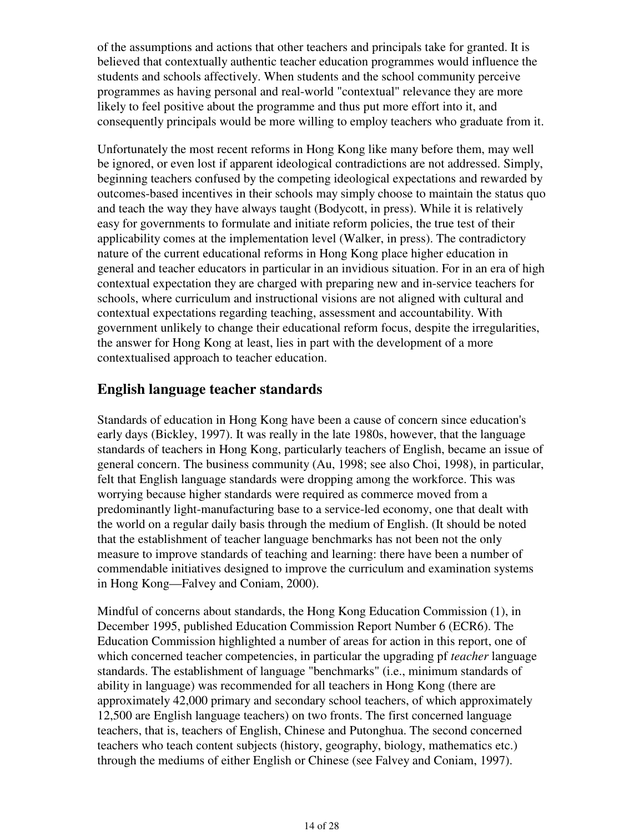of the assumptions and actions that other teachers and principals take for granted. It is believed that contextually authentic teacher education programmes would influence the students and schools affectively. When students and the school community perceive programmes as having personal and real-world "contextual" relevance they are more likely to feel positive about the programme and thus put more effort into it, and consequently principals would be more willing to employ teachers who graduate from it.

Unfortunately the most recent reforms in Hong Kong like many before them, may well be ignored, or even lost if apparent ideological contradictions are not addressed. Simply, beginning teachers confused by the competing ideological expectations and rewarded by outcomes-based incentives in their schools may simply choose to maintain the status quo and teach the way they have always taught (Bodycott, in press). While it is relatively easy for governments to formulate and initiate reform policies, the true test of their applicability comes at the implementation level (Walker, in press). The contradictory nature of the current educational reforms in Hong Kong place higher education in general and teacher educators in particular in an invidious situation. For in an era of high contextual expectation they are charged with preparing new and in-service teachers for schools, where curriculum and instructional visions are not aligned with cultural and contextual expectations regarding teaching, assessment and accountability. With government unlikely to change their educational reform focus, despite the irregularities, the answer for Hong Kong at least, lies in part with the development of a more contextualised approach to teacher education.

### **English language teacher standards**

Standards of education in Hong Kong have been a cause of concern since education's early days (Bickley, 1997). It was really in the late 1980s, however, that the language standards of teachers in Hong Kong, particularly teachers of English, became an issue of general concern. The business community (Au, 1998; see also Choi, 1998), in particular, felt that English language standards were dropping among the workforce. This was worrying because higher standards were required as commerce moved from a predominantly light-manufacturing base to a service-led economy, one that dealt with the world on a regular daily basis through the medium of English. (It should be noted that the establishment of teacher language benchmarks has not been not the only measure to improve standards of teaching and learning: there have been a number of commendable initiatives designed to improve the curriculum and examination systems in Hong Kong—Falvey and Coniam, 2000).

Mindful of concerns about standards, the Hong Kong Education Commission (1), in December 1995, published Education Commission Report Number 6 (ECR6). The Education Commission highlighted a number of areas for action in this report, one of which concerned teacher competencies, in particular the upgrading pf *teacher* language standards. The establishment of language "benchmarks" (i.e., minimum standards of ability in language) was recommended for all teachers in Hong Kong (there are approximately 42,000 primary and secondary school teachers, of which approximately 12,500 are English language teachers) on two fronts. The first concerned language teachers, that is, teachers of English, Chinese and Putonghua. The second concerned teachers who teach content subjects (history, geography, biology, mathematics etc.) through the mediums of either English or Chinese (see Falvey and Coniam, 1997).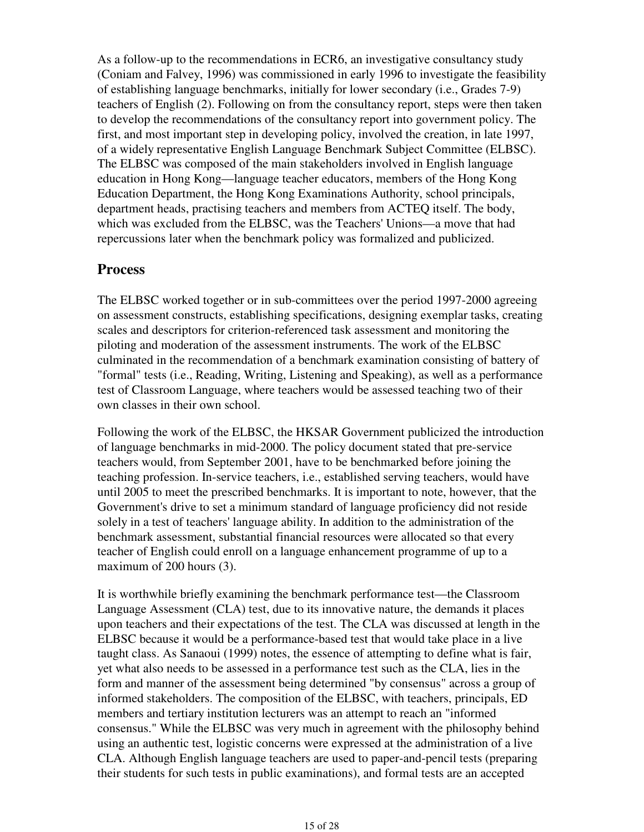As a follow-up to the recommendations in ECR6, an investigative consultancy study (Coniam and Falvey, 1996) was commissioned in early 1996 to investigate the feasibility of establishing language benchmarks, initially for lower secondary (i.e., Grades 7-9) teachers of English (2). Following on from the consultancy report, steps were then taken to develop the recommendations of the consultancy report into government policy. The first, and most important step in developing policy, involved the creation, in late 1997, of a widely representative English Language Benchmark Subject Committee (ELBSC). The ELBSC was composed of the main stakeholders involved in English language education in Hong Kong—language teacher educators, members of the Hong Kong Education Department, the Hong Kong Examinations Authority, school principals, department heads, practising teachers and members from ACTEQ itself. The body, which was excluded from the ELBSC, was the Teachers' Unions—a move that had repercussions later when the benchmark policy was formalized and publicized.

### **Process**

The ELBSC worked together or in sub-committees over the period 1997-2000 agreeing on assessment constructs, establishing specifications, designing exemplar tasks, creating scales and descriptors for criterion-referenced task assessment and monitoring the piloting and moderation of the assessment instruments. The work of the ELBSC culminated in the recommendation of a benchmark examination consisting of battery of "formal" tests (i.e., Reading, Writing, Listening and Speaking), as well as a performance test of Classroom Language, where teachers would be assessed teaching two of their own classes in their own school.

Following the work of the ELBSC, the HKSAR Government publicized the introduction of language benchmarks in mid-2000. The policy document stated that pre-service teachers would, from September 2001, have to be benchmarked before joining the teaching profession. In-service teachers, i.e., established serving teachers, would have until 2005 to meet the prescribed benchmarks. It is important to note, however, that the Government's drive to set a minimum standard of language proficiency did not reside solely in a test of teachers' language ability. In addition to the administration of the benchmark assessment, substantial financial resources were allocated so that every teacher of English could enroll on a language enhancement programme of up to a maximum of 200 hours (3).

It is worthwhile briefly examining the benchmark performance test—the Classroom Language Assessment (CLA) test, due to its innovative nature, the demands it places upon teachers and their expectations of the test. The CLA was discussed at length in the ELBSC because it would be a performance-based test that would take place in a live taught class. As Sanaoui (1999) notes, the essence of attempting to define what is fair, yet what also needs to be assessed in a performance test such as the CLA, lies in the form and manner of the assessment being determined "by consensus" across a group of informed stakeholders. The composition of the ELBSC, with teachers, principals, ED members and tertiary institution lecturers was an attempt to reach an "informed consensus." While the ELBSC was very much in agreement with the philosophy behind using an authentic test, logistic concerns were expressed at the administration of a live CLA. Although English language teachers are used to paper-and-pencil tests (preparing their students for such tests in public examinations), and formal tests are an accepted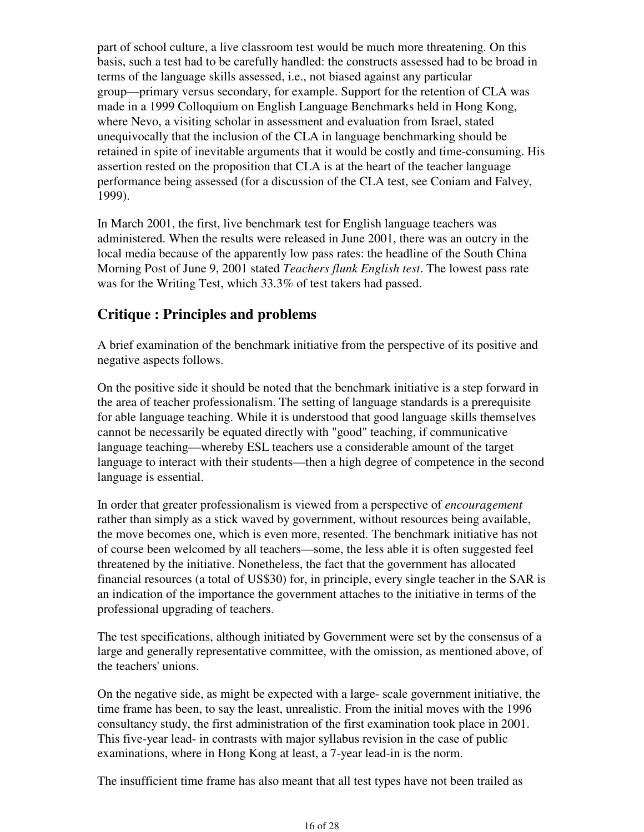part of school culture, a live classroom test would be much more threatening. On this basis, such a test had to be carefully handled: the constructs assessed had to be broad in terms of the language skills assessed, i.e., not biased against any particular group—primary versus secondary, for example. Support for the retention of CLA was made in a 1999 Colloquium on English Language Benchmarks held in Hong Kong, where Nevo, a visiting scholar in assessment and evaluation from Israel, stated unequivocally that the inclusion of the CLA in language benchmarking should be retained in spite of inevitable arguments that it would be costly and time-consuming. His assertion rested on the proposition that CLA is at the heart of the teacher language performance being assessed (for a discussion of the CLA test, see Coniam and Falvey, 1999).

In March 2001, the first, live benchmark test for English language teachers was administered. When the results were released in June 2001, there was an outcry in the local media because of the apparently low pass rates: the headline of the South China Morning Post of June 9, 2001 stated *Teachers flunk English test*. The lowest pass rate was for the Writing Test, which 33.3% of test takers had passed.

## **Critique : Principles and problems**

A brief examination of the benchmark initiative from the perspective of its positive and negative aspects follows.

On the positive side it should be noted that the benchmark initiative is a step forward in the area of teacher professionalism. The setting of language standards is a prerequisite for able language teaching. While it is understood that good language skills themselves cannot be necessarily be equated directly with "good" teaching, if communicative language teaching—whereby ESL teachers use a considerable amount of the target language to interact with their students—then a high degree of competence in the second language is essential.

In order that greater professionalism is viewed from a perspective of *encouragement* rather than simply as a stick waved by government, without resources being available, the move becomes one, which is even more, resented. The benchmark initiative has not of course been welcomed by all teachers—some, the less able it is often suggested feel threatened by the initiative. Nonetheless, the fact that the government has allocated financial resources (a total of US\$30) for, in principle, every single teacher in the SAR is an indication of the importance the government attaches to the initiative in terms of the professional upgrading of teachers.

The test specifications, although initiated by Government were set by the consensus of a large and generally representative committee, with the omission, as mentioned above, of the teachers' unions.

On the negative side, as might be expected with a large- scale government initiative, the time frame has been, to say the least, unrealistic. From the initial moves with the 1996 consultancy study, the first administration of the first examination took place in 2001. This five-year lead- in contrasts with major syllabus revision in the case of public examinations, where in Hong Kong at least, a 7-year lead-in is the norm.

The insufficient time frame has also meant that all test types have not been trailed as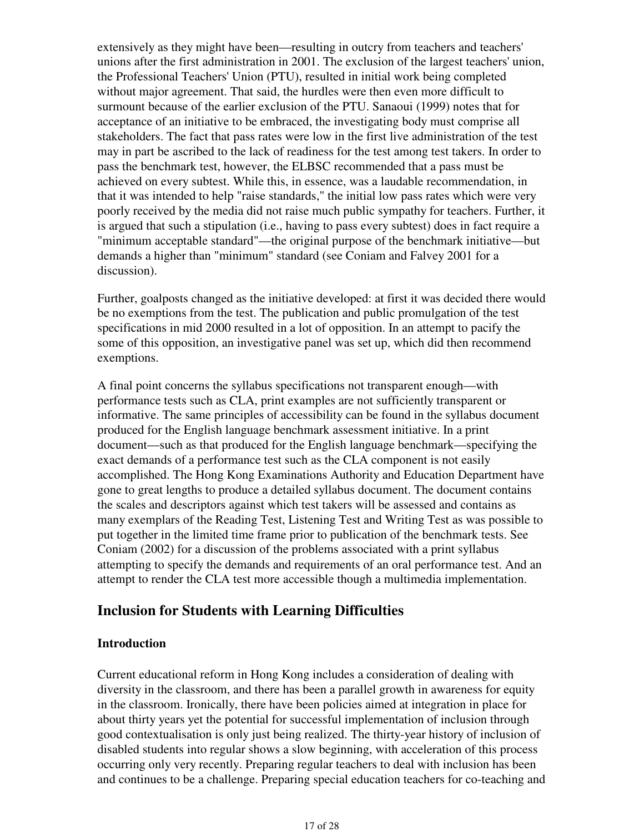extensively as they might have been—resulting in outcry from teachers and teachers' unions after the first administration in 2001. The exclusion of the largest teachers' union, the Professional Teachers' Union (PTU), resulted in initial work being completed without major agreement. That said, the hurdles were then even more difficult to surmount because of the earlier exclusion of the PTU. Sanaoui (1999) notes that for acceptance of an initiative to be embraced, the investigating body must comprise all stakeholders. The fact that pass rates were low in the first live administration of the test may in part be ascribed to the lack of readiness for the test among test takers. In order to pass the benchmark test, however, the ELBSC recommended that a pass must be achieved on every subtest. While this, in essence, was a laudable recommendation, in that it was intended to help "raise standards," the initial low pass rates which were very poorly received by the media did not raise much public sympathy for teachers. Further, it is argued that such a stipulation (i.e., having to pass every subtest) does in fact require a "minimum acceptable standard"—the original purpose of the benchmark initiative—but demands a higher than "minimum" standard (see Coniam and Falvey 2001 for a discussion).

Further, goalposts changed as the initiative developed: at first it was decided there would be no exemptions from the test. The publication and public promulgation of the test specifications in mid 2000 resulted in a lot of opposition. In an attempt to pacify the some of this opposition, an investigative panel was set up, which did then recommend exemptions.

A final point concerns the syllabus specifications not transparent enough—with performance tests such as CLA, print examples are not sufficiently transparent or informative. The same principles of accessibility can be found in the syllabus document produced for the English language benchmark assessment initiative. In a print document—such as that produced for the English language benchmark—specifying the exact demands of a performance test such as the CLA component is not easily accomplished. The Hong Kong Examinations Authority and Education Department have gone to great lengths to produce a detailed syllabus document. The document contains the scales and descriptors against which test takers will be assessed and contains as many exemplars of the Reading Test, Listening Test and Writing Test as was possible to put together in the limited time frame prior to publication of the benchmark tests. See Coniam (2002) for a discussion of the problems associated with a print syllabus attempting to specify the demands and requirements of an oral performance test. And an attempt to render the CLA test more accessible though a multimedia implementation.

### **Inclusion for Students with Learning Difficulties**

#### **Introduction**

Current educational reform in Hong Kong includes a consideration of dealing with diversity in the classroom, and there has been a parallel growth in awareness for equity in the classroom. Ironically, there have been policies aimed at integration in place for about thirty years yet the potential for successful implementation of inclusion through good contextualisation is only just being realized. The thirty-year history of inclusion of disabled students into regular shows a slow beginning, with acceleration of this process occurring only very recently. Preparing regular teachers to deal with inclusion has been and continues to be a challenge. Preparing special education teachers for co-teaching and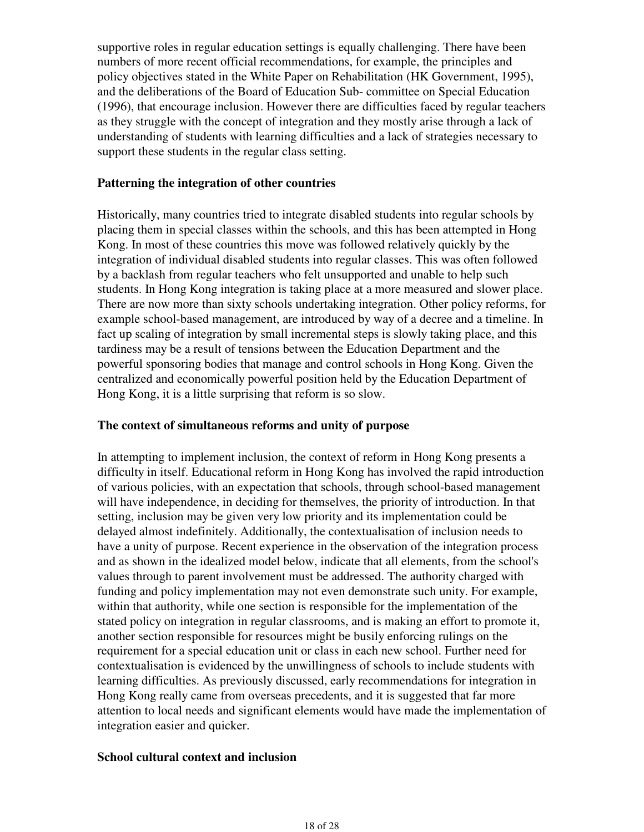supportive roles in regular education settings is equally challenging. There have been numbers of more recent official recommendations, for example, the principles and policy objectives stated in the White Paper on Rehabilitation (HK Government, 1995), and the deliberations of the Board of Education Sub- committee on Special Education (1996), that encourage inclusion. However there are difficulties faced by regular teachers as they struggle with the concept of integration and they mostly arise through a lack of understanding of students with learning difficulties and a lack of strategies necessary to support these students in the regular class setting.

#### **Patterning the integration of other countries**

Historically, many countries tried to integrate disabled students into regular schools by placing them in special classes within the schools, and this has been attempted in Hong Kong. In most of these countries this move was followed relatively quickly by the integration of individual disabled students into regular classes. This was often followed by a backlash from regular teachers who felt unsupported and unable to help such students. In Hong Kong integration is taking place at a more measured and slower place. There are now more than sixty schools undertaking integration. Other policy reforms, for example school-based management, are introduced by way of a decree and a timeline. In fact up scaling of integration by small incremental steps is slowly taking place, and this tardiness may be a result of tensions between the Education Department and the powerful sponsoring bodies that manage and control schools in Hong Kong. Given the centralized and economically powerful position held by the Education Department of Hong Kong, it is a little surprising that reform is so slow.

#### **The context of simultaneous reforms and unity of purpose**

In attempting to implement inclusion, the context of reform in Hong Kong presents a difficulty in itself. Educational reform in Hong Kong has involved the rapid introduction of various policies, with an expectation that schools, through school-based management will have independence, in deciding for themselves, the priority of introduction. In that setting, inclusion may be given very low priority and its implementation could be delayed almost indefinitely. Additionally, the contextualisation of inclusion needs to have a unity of purpose. Recent experience in the observation of the integration process and as shown in the idealized model below, indicate that all elements, from the school's values through to parent involvement must be addressed. The authority charged with funding and policy implementation may not even demonstrate such unity. For example, within that authority, while one section is responsible for the implementation of the stated policy on integration in regular classrooms, and is making an effort to promote it, another section responsible for resources might be busily enforcing rulings on the requirement for a special education unit or class in each new school. Further need for contextualisation is evidenced by the unwillingness of schools to include students with learning difficulties. As previously discussed, early recommendations for integration in Hong Kong really came from overseas precedents, and it is suggested that far more attention to local needs and significant elements would have made the implementation of integration easier and quicker.

#### **School cultural context and inclusion**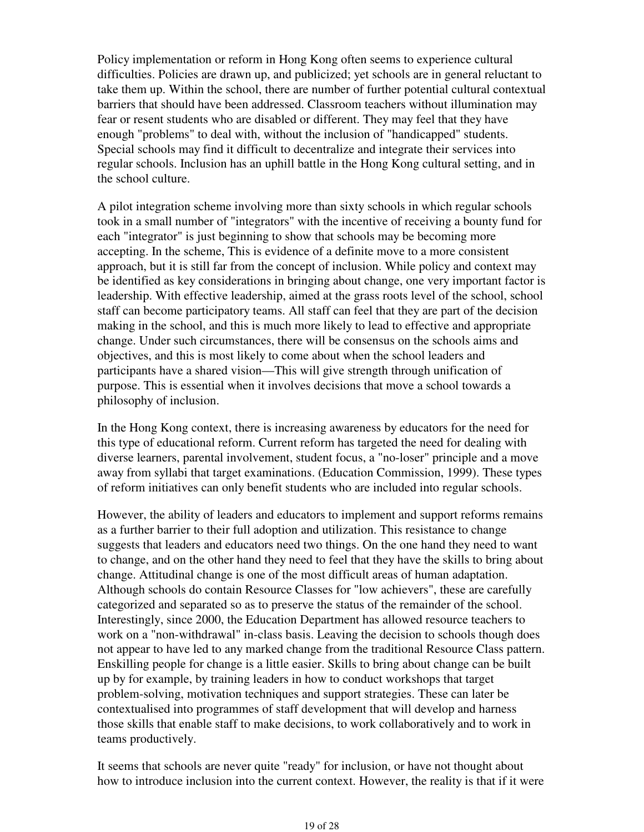Policy implementation or reform in Hong Kong often seems to experience cultural difficulties. Policies are drawn up, and publicized; yet schools are in general reluctant to take them up. Within the school, there are number of further potential cultural contextual barriers that should have been addressed. Classroom teachers without illumination may fear or resent students who are disabled or different. They may feel that they have enough "problems" to deal with, without the inclusion of "handicapped" students. Special schools may find it difficult to decentralize and integrate their services into regular schools. Inclusion has an uphill battle in the Hong Kong cultural setting, and in the school culture.

A pilot integration scheme involving more than sixty schools in which regular schools took in a small number of "integrators" with the incentive of receiving a bounty fund for each "integrator" is just beginning to show that schools may be becoming more accepting. In the scheme, This is evidence of a definite move to a more consistent approach, but it is still far from the concept of inclusion. While policy and context may be identified as key considerations in bringing about change, one very important factor is leadership. With effective leadership, aimed at the grass roots level of the school, school staff can become participatory teams. All staff can feel that they are part of the decision making in the school, and this is much more likely to lead to effective and appropriate change. Under such circumstances, there will be consensus on the schools aims and objectives, and this is most likely to come about when the school leaders and participants have a shared vision—This will give strength through unification of purpose. This is essential when it involves decisions that move a school towards a philosophy of inclusion.

In the Hong Kong context, there is increasing awareness by educators for the need for this type of educational reform. Current reform has targeted the need for dealing with diverse learners, parental involvement, student focus, a "no-loser" principle and a move away from syllabi that target examinations. (Education Commission, 1999). These types of reform initiatives can only benefit students who are included into regular schools.

However, the ability of leaders and educators to implement and support reforms remains as a further barrier to their full adoption and utilization. This resistance to change suggests that leaders and educators need two things. On the one hand they need to want to change, and on the other hand they need to feel that they have the skills to bring about change. Attitudinal change is one of the most difficult areas of human adaptation. Although schools do contain Resource Classes for "low achievers", these are carefully categorized and separated so as to preserve the status of the remainder of the school. Interestingly, since 2000, the Education Department has allowed resource teachers to work on a "non-withdrawal" in-class basis. Leaving the decision to schools though does not appear to have led to any marked change from the traditional Resource Class pattern. Enskilling people for change is a little easier. Skills to bring about change can be built up by for example, by training leaders in how to conduct workshops that target problem-solving, motivation techniques and support strategies. These can later be contextualised into programmes of staff development that will develop and harness those skills that enable staff to make decisions, to work collaboratively and to work in teams productively.

It seems that schools are never quite "ready" for inclusion, or have not thought about how to introduce inclusion into the current context. However, the reality is that if it were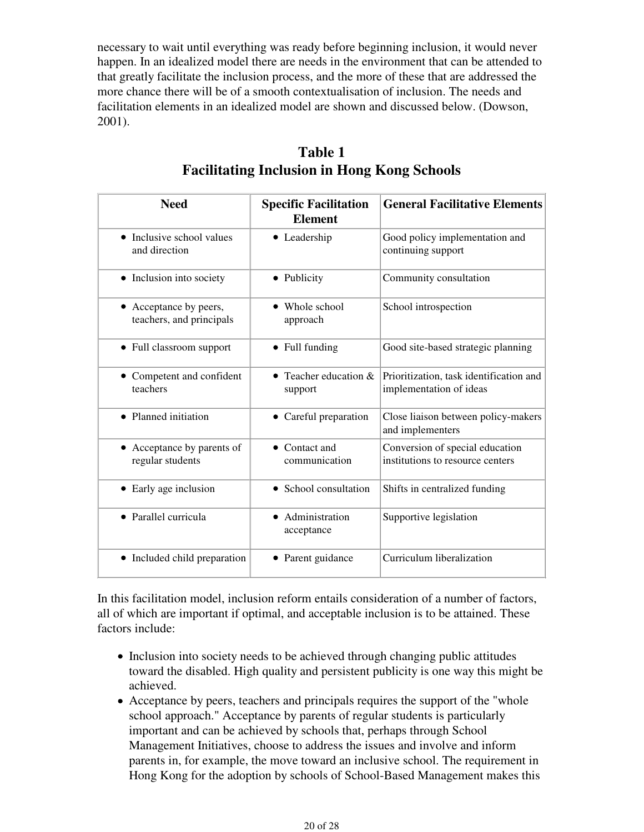necessary to wait until everything was ready before beginning inclusion, it would never happen. In an idealized model there are needs in the environment that can be attended to that greatly facilitate the inclusion process, and the more of these that are addressed the more chance there will be of a smooth contextualisation of inclusion. The needs and facilitation elements in an idealized model are shown and discussed below. (Dowson, 2001).

| <b>Need</b>                                        | <b>Specific Facilitation</b><br><b>Element</b> | <b>General Facilitative Elements</b>                                |
|----------------------------------------------------|------------------------------------------------|---------------------------------------------------------------------|
| • Inclusive school values<br>and direction         | • Leadership                                   | Good policy implementation and<br>continuing support                |
| • Inclusion into society                           | • Publicity                                    | Community consultation                                              |
| • Acceptance by peers,<br>teachers, and principals | • Whole school<br>approach                     | School introspection                                                |
| • Full classroom support                           | $\bullet$ Full funding                         | Good site-based strategic planning                                  |
| • Competent and confident<br>teachers              | Teacher education &<br>$\bullet$<br>support    | Prioritization, task identification and<br>implementation of ideas  |
| • Planned initiation                               | • Careful preparation                          | Close liaison between policy-makers<br>and implementers             |
| • Acceptance by parents of<br>regular students     | $\bullet$ Contact and<br>communication         | Conversion of special education<br>institutions to resource centers |
| • Early age inclusion                              | School consultation<br>$\bullet$               | Shifts in centralized funding                                       |
| • Parallel curricula                               | Administration<br>acceptance                   | Supportive legislation                                              |
| • Included child preparation                       | • Parent guidance                              | Curriculum liberalization                                           |

### **Table 1 Facilitating Inclusion in Hong Kong Schools**

In this facilitation model, inclusion reform entails consideration of a number of factors, all of which are important if optimal, and acceptable inclusion is to be attained. These factors include:

- Inclusion into society needs to be achieved through changing public attitudes toward the disabled. High quality and persistent publicity is one way this might be achieved.
- Acceptance by peers, teachers and principals requires the support of the "whole" school approach." Acceptance by parents of regular students is particularly important and can be achieved by schools that, perhaps through School Management Initiatives, choose to address the issues and involve and inform parents in, for example, the move toward an inclusive school. The requirement in Hong Kong for the adoption by schools of School-Based Management makes this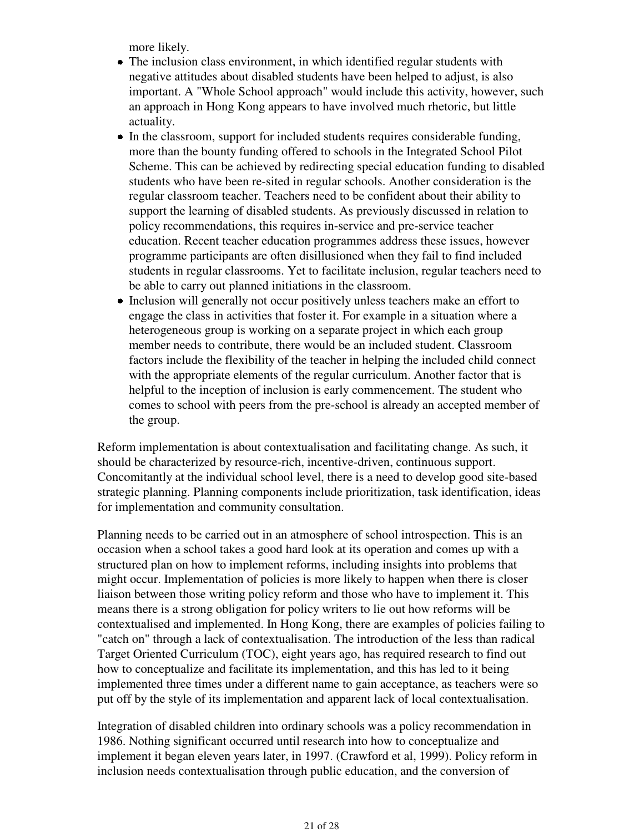more likely.

- The inclusion class environment, in which identified regular students with negative attitudes about disabled students have been helped to adjust, is also important. A "Whole School approach" would include this activity, however, such an approach in Hong Kong appears to have involved much rhetoric, but little actuality.
- In the classroom, support for included students requires considerable funding, more than the bounty funding offered to schools in the Integrated School Pilot Scheme. This can be achieved by redirecting special education funding to disabled students who have been re-sited in regular schools. Another consideration is the regular classroom teacher. Teachers need to be confident about their ability to support the learning of disabled students. As previously discussed in relation to policy recommendations, this requires in-service and pre-service teacher education. Recent teacher education programmes address these issues, however programme participants are often disillusioned when they fail to find included students in regular classrooms. Yet to facilitate inclusion, regular teachers need to be able to carry out planned initiations in the classroom.
- Inclusion will generally not occur positively unless teachers make an effort to engage the class in activities that foster it. For example in a situation where a heterogeneous group is working on a separate project in which each group member needs to contribute, there would be an included student. Classroom factors include the flexibility of the teacher in helping the included child connect with the appropriate elements of the regular curriculum. Another factor that is helpful to the inception of inclusion is early commencement. The student who comes to school with peers from the pre-school is already an accepted member of the group.

Reform implementation is about contextualisation and facilitating change. As such, it should be characterized by resource-rich, incentive-driven, continuous support. Concomitantly at the individual school level, there is a need to develop good site-based strategic planning. Planning components include prioritization, task identification, ideas for implementation and community consultation.

Planning needs to be carried out in an atmosphere of school introspection. This is an occasion when a school takes a good hard look at its operation and comes up with a structured plan on how to implement reforms, including insights into problems that might occur. Implementation of policies is more likely to happen when there is closer liaison between those writing policy reform and those who have to implement it. This means there is a strong obligation for policy writers to lie out how reforms will be contextualised and implemented. In Hong Kong, there are examples of policies failing to "catch on" through a lack of contextualisation. The introduction of the less than radical Target Oriented Curriculum (TOC), eight years ago, has required research to find out how to conceptualize and facilitate its implementation, and this has led to it being implemented three times under a different name to gain acceptance, as teachers were so put off by the style of its implementation and apparent lack of local contextualisation.

Integration of disabled children into ordinary schools was a policy recommendation in 1986. Nothing significant occurred until research into how to conceptualize and implement it began eleven years later, in 1997. (Crawford et al, 1999). Policy reform in inclusion needs contextualisation through public education, and the conversion of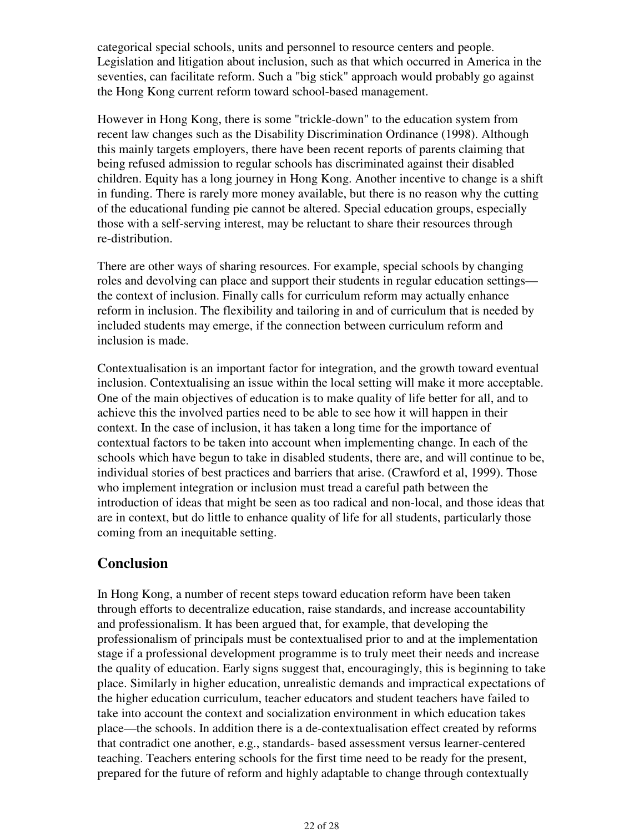categorical special schools, units and personnel to resource centers and people. Legislation and litigation about inclusion, such as that which occurred in America in the seventies, can facilitate reform. Such a "big stick" approach would probably go against the Hong Kong current reform toward school-based management.

However in Hong Kong, there is some "trickle-down" to the education system from recent law changes such as the Disability Discrimination Ordinance (1998). Although this mainly targets employers, there have been recent reports of parents claiming that being refused admission to regular schools has discriminated against their disabled children. Equity has a long journey in Hong Kong. Another incentive to change is a shift in funding. There is rarely more money available, but there is no reason why the cutting of the educational funding pie cannot be altered. Special education groups, especially those with a self-serving interest, may be reluctant to share their resources through re-distribution.

There are other ways of sharing resources. For example, special schools by changing roles and devolving can place and support their students in regular education settings the context of inclusion. Finally calls for curriculum reform may actually enhance reform in inclusion. The flexibility and tailoring in and of curriculum that is needed by included students may emerge, if the connection between curriculum reform and inclusion is made.

Contextualisation is an important factor for integration, and the growth toward eventual inclusion. Contextualising an issue within the local setting will make it more acceptable. One of the main objectives of education is to make quality of life better for all, and to achieve this the involved parties need to be able to see how it will happen in their context. In the case of inclusion, it has taken a long time for the importance of contextual factors to be taken into account when implementing change. In each of the schools which have begun to take in disabled students, there are, and will continue to be, individual stories of best practices and barriers that arise. (Crawford et al, 1999). Those who implement integration or inclusion must tread a careful path between the introduction of ideas that might be seen as too radical and non-local, and those ideas that are in context, but do little to enhance quality of life for all students, particularly those coming from an inequitable setting.

### **Conclusion**

In Hong Kong, a number of recent steps toward education reform have been taken through efforts to decentralize education, raise standards, and increase accountability and professionalism. It has been argued that, for example, that developing the professionalism of principals must be contextualised prior to and at the implementation stage if a professional development programme is to truly meet their needs and increase the quality of education. Early signs suggest that, encouragingly, this is beginning to take place. Similarly in higher education, unrealistic demands and impractical expectations of the higher education curriculum, teacher educators and student teachers have failed to take into account the context and socialization environment in which education takes place—the schools. In addition there is a de-contextualisation effect created by reforms that contradict one another, e.g., standards- based assessment versus learner-centered teaching. Teachers entering schools for the first time need to be ready for the present, prepared for the future of reform and highly adaptable to change through contextually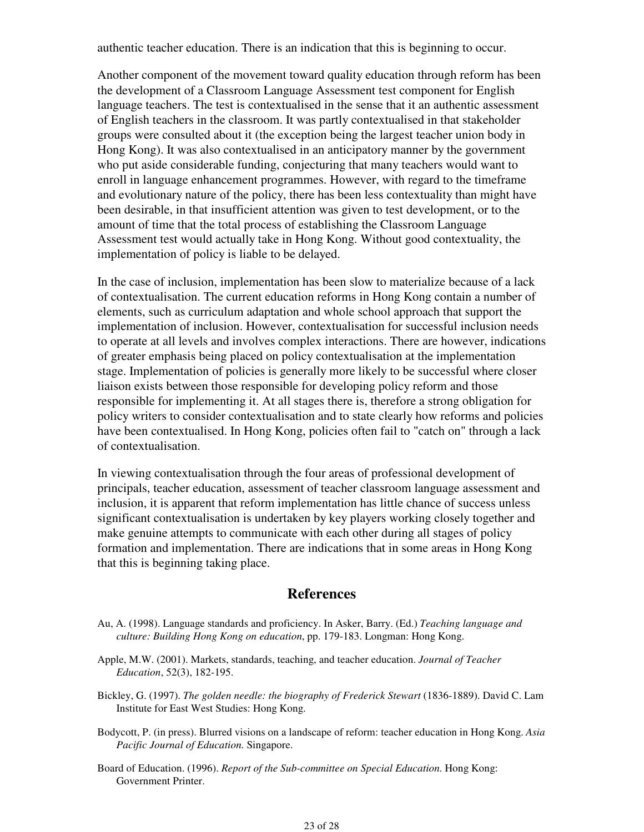authentic teacher education. There is an indication that this is beginning to occur.

Another component of the movement toward quality education through reform has been the development of a Classroom Language Assessment test component for English language teachers. The test is contextualised in the sense that it an authentic assessment of English teachers in the classroom. It was partly contextualised in that stakeholder groups were consulted about it (the exception being the largest teacher union body in Hong Kong). It was also contextualised in an anticipatory manner by the government who put aside considerable funding, conjecturing that many teachers would want to enroll in language enhancement programmes. However, with regard to the timeframe and evolutionary nature of the policy, there has been less contextuality than might have been desirable, in that insufficient attention was given to test development, or to the amount of time that the total process of establishing the Classroom Language Assessment test would actually take in Hong Kong. Without good contextuality, the implementation of policy is liable to be delayed.

In the case of inclusion, implementation has been slow to materialize because of a lack of contextualisation. The current education reforms in Hong Kong contain a number of elements, such as curriculum adaptation and whole school approach that support the implementation of inclusion. However, contextualisation for successful inclusion needs to operate at all levels and involves complex interactions. There are however, indications of greater emphasis being placed on policy contextualisation at the implementation stage. Implementation of policies is generally more likely to be successful where closer liaison exists between those responsible for developing policy reform and those responsible for implementing it. At all stages there is, therefore a strong obligation for policy writers to consider contextualisation and to state clearly how reforms and policies have been contextualised. In Hong Kong, policies often fail to "catch on" through a lack of contextualisation.

In viewing contextualisation through the four areas of professional development of principals, teacher education, assessment of teacher classroom language assessment and inclusion, it is apparent that reform implementation has little chance of success unless significant contextualisation is undertaken by key players working closely together and make genuine attempts to communicate with each other during all stages of policy formation and implementation. There are indications that in some areas in Hong Kong that this is beginning taking place.

### **References**

- Au, A. (1998). Language standards and proficiency. In Asker, Barry. (Ed.) *Teaching language and culture: Building Hong Kong on education*, pp. 179-183. Longman: Hong Kong.
- Apple, M.W. (2001). Markets, standards, teaching, and teacher education. *Journal of Teacher Education*, 52(3), 182-195.
- Bickley, G. (1997). *The golden needle: the biography of Frederick Stewart* (1836-1889). David C. Lam Institute for East West Studies: Hong Kong.
- Bodycott, P. (in press). Blurred visions on a landscape of reform: teacher education in Hong Kong. *Asia Pacific Journal of Education.* Singapore.
- Board of Education. (1996). *Report of the Sub-committee on Special Education.* Hong Kong: Government Printer.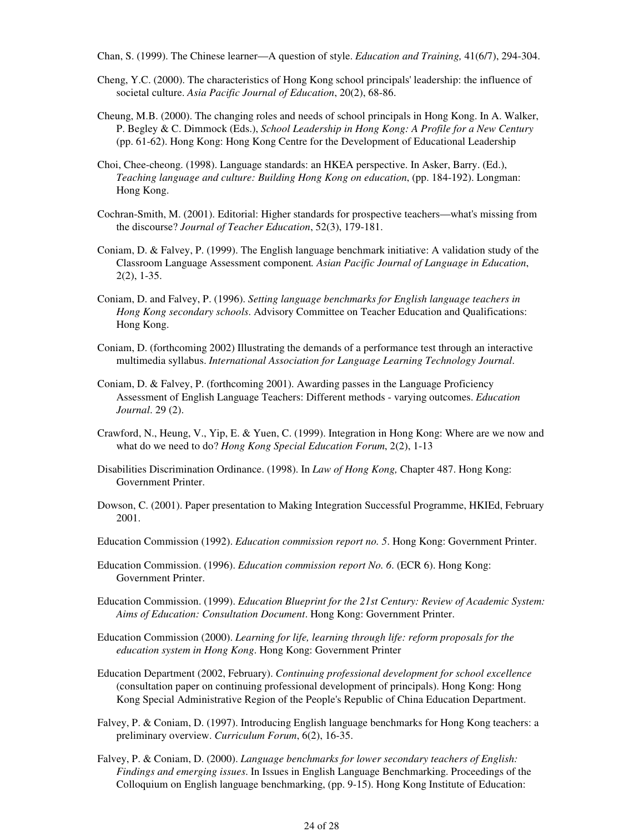Chan, S. (1999). The Chinese learner—A question of style. *Education and Training,* 41(6/7), 294-304.

- Cheng, Y.C. (2000). The characteristics of Hong Kong school principals' leadership: the influence of societal culture. *Asia Pacific Journal of Education*, 20(2), 68-86.
- Cheung, M.B. (2000). The changing roles and needs of school principals in Hong Kong. In A. Walker, P. Begley & C. Dimmock (Eds.), *School Leadership in Hong Kong: A Profile for a New Century* (pp. 61-62). Hong Kong: Hong Kong Centre for the Development of Educational Leadership
- Choi, Chee-cheong. (1998). Language standards: an HKEA perspective. In Asker, Barry. (Ed.), *Teaching language and culture: Building Hong Kong on education*, (pp. 184-192). Longman: Hong Kong.
- Cochran-Smith, M. (2001). Editorial: Higher standards for prospective teachers—what's missing from the discourse? *Journal of Teacher Education*, 52(3), 179-181.
- Coniam, D. & Falvey, P. (1999). The English language benchmark initiative: A validation study of the Classroom Language Assessment component*. Asian Pacific Journal of Language in Education*, 2(2), 1-35.
- Coniam, D. and Falvey, P. (1996). *Setting language benchmarks for English language teachers in Hong Kong secondary schools*. Advisory Committee on Teacher Education and Qualifications: Hong Kong.
- Coniam, D. (forthcoming 2002) Illustrating the demands of a performance test through an interactive multimedia syllabus. *International Association for Language Learning Technology Journal*.
- Coniam, D. & Falvey, P. (forthcoming 2001). Awarding passes in the Language Proficiency Assessment of English Language Teachers: Different methods - varying outcomes. *Education Journal*. 29 (2).
- Crawford, N., Heung, V., Yip, E. & Yuen, C. (1999). Integration in Hong Kong: Where are we now and what do we need to do? *Hong Kong Special Education Forum*, 2(2), 1-13
- Disabilities Discrimination Ordinance. (1998). In *Law of Hong Kong,* Chapter 487. Hong Kong: Government Printer.
- Dowson, C. (2001). Paper presentation to Making Integration Successful Programme, HKIEd, February 2001.
- Education Commission (1992). *Education commission report no. 5*. Hong Kong: Government Printer.
- Education Commission. (1996). *Education commission report No. 6*. (ECR 6). Hong Kong: Government Printer.
- Education Commission. (1999). *Education Blueprint for the 21st Century: Review of Academic System: Aims of Education: Consultation Document*. Hong Kong: Government Printer.
- Education Commission (2000). *Learning for life, learning through life: reform proposals for the education system in Hong Kong*. Hong Kong: Government Printer
- Education Department (2002, February). *Continuing professional development for school excellence* (consultation paper on continuing professional development of principals). Hong Kong: Hong Kong Special Administrative Region of the People's Republic of China Education Department.
- Falvey, P. & Coniam, D. (1997). Introducing English language benchmarks for Hong Kong teachers: a preliminary overview. *Curriculum Forum*, 6(2), 16-35.
- Falvey, P. & Coniam, D. (2000). *Language benchmarks for lower secondary teachers of English: Findings and emerging issues*. In Issues in English Language Benchmarking. Proceedings of the Colloquium on English language benchmarking, (pp. 9-15). Hong Kong Institute of Education: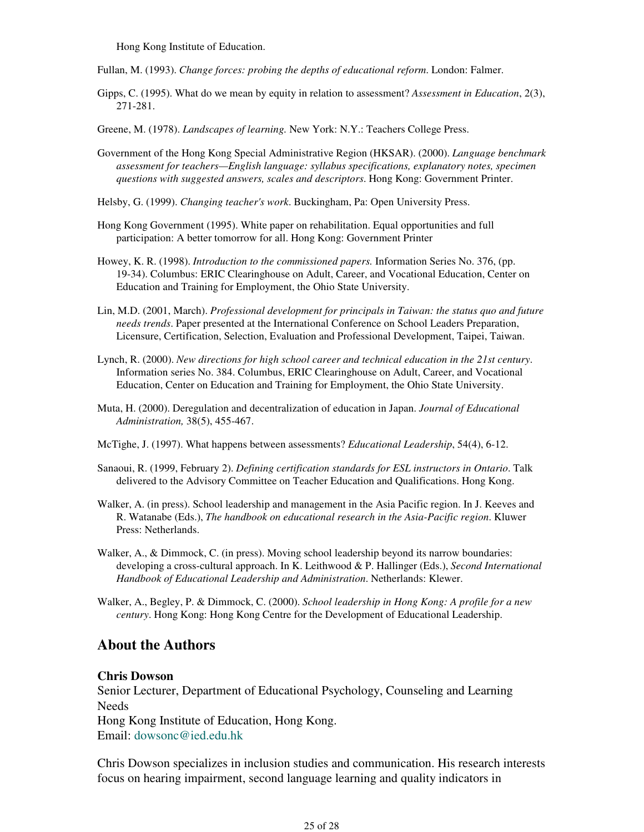Hong Kong Institute of Education.

Fullan, M. (1993). *Change forces: probing the depths of educational reform*. London: Falmer.

Gipps, C. (1995). What do we mean by equity in relation to assessment? *Assessment in Education*, 2(3), 271-281.

Greene, M. (1978). *Landscapes of learning.* New York: N.Y.: Teachers College Press.

- Government of the Hong Kong Special Administrative Region (HKSAR). (2000). *Language benchmark assessment for teachers—English language: syllabus specifications, explanatory notes, specimen questions with suggested answers, scales and descriptors*. Hong Kong: Government Printer.
- Helsby, G. (1999). *Changing teacher's work*. Buckingham, Pa: Open University Press.
- Hong Kong Government (1995). White paper on rehabilitation. Equal opportunities and full participation: A better tomorrow for all. Hong Kong: Government Printer
- Howey, K. R. (1998). *Introduction to the commissioned papers.* Information Series No. 376, (pp. 19-34). Columbus: ERIC Clearinghouse on Adult, Career, and Vocational Education, Center on Education and Training for Employment, the Ohio State University.
- Lin, M.D. (2001, March). *Professional development for principals in Taiwan: the status quo and future needs trends*. Paper presented at the International Conference on School Leaders Preparation, Licensure, Certification, Selection, Evaluation and Professional Development, Taipei, Taiwan.
- Lynch, R. (2000). *New directions for high school career and technical education in the 21st century*. Information series No. 384. Columbus, ERIC Clearinghouse on Adult, Career, and Vocational Education, Center on Education and Training for Employment, the Ohio State University.
- Muta, H. (2000). Deregulation and decentralization of education in Japan. *Journal of Educational Administration,* 38(5), 455-467.
- McTighe, J. (1997). What happens between assessments? *Educational Leadership*, 54(4), 6-12.
- Sanaoui, R. (1999, February 2). *Defining certification standards for ESL instructors in Ontario*. Talk delivered to the Advisory Committee on Teacher Education and Qualifications. Hong Kong.
- Walker, A. (in press). School leadership and management in the Asia Pacific region. In J. Keeves and R. Watanabe (Eds.), *The handbook on educational research in the Asia-Pacific region*. Kluwer Press: Netherlands.
- Walker, A., & Dimmock, C. (in press). Moving school leadership beyond its narrow boundaries: developing a cross-cultural approach. In K. Leithwood & P. Hallinger (Eds.), *Second International Handbook of Educational Leadership and Administration*. Netherlands: Klewer.
- Walker, A., Begley, P. & Dimmock, C. (2000). *School leadership in Hong Kong: A profile for a new century*. Hong Kong: Hong Kong Centre for the Development of Educational Leadership.

#### **About the Authors**

#### **Chris Dowson**

Senior Lecturer, Department of Educational Psychology, Counseling and Learning Needs Hong Kong Institute of Education, Hong Kong. Email: dowsonc@ied.edu.hk

Chris Dowson specializes in inclusion studies and communication. His research interests focus on hearing impairment, second language learning and quality indicators in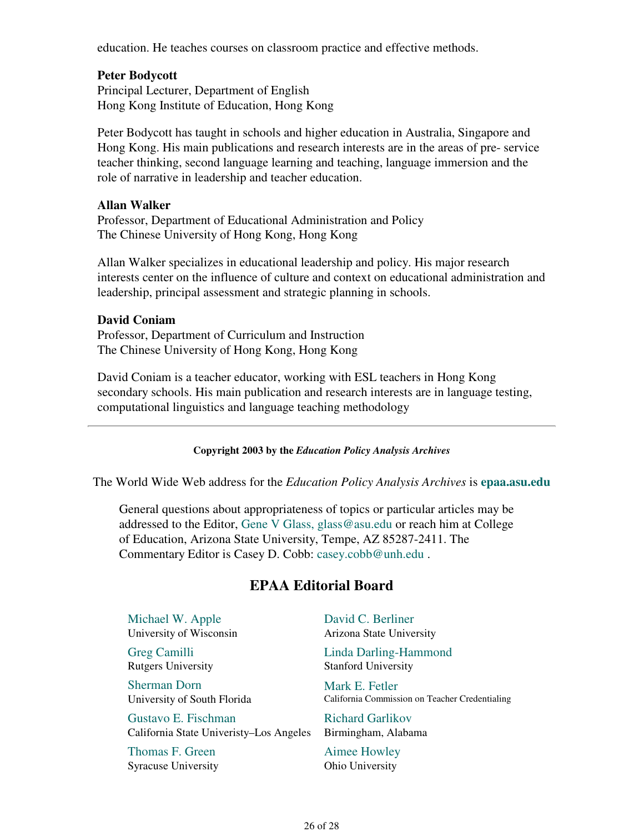education. He teaches courses on classroom practice and effective methods.

#### **Peter Bodycott**

Principal Lecturer, Department of English Hong Kong Institute of Education, Hong Kong

Peter Bodycott has taught in schools and higher education in Australia, Singapore and Hong Kong. His main publications and research interests are in the areas of pre- service teacher thinking, second language learning and teaching, language immersion and the role of narrative in leadership and teacher education.

#### **Allan Walker**

Professor, Department of Educational Administration and Policy The Chinese University of Hong Kong, Hong Kong

Allan Walker specializes in educational leadership and policy. His major research interests center on the influence of culture and context on educational administration and leadership, principal assessment and strategic planning in schools.

#### **David Coniam**

Professor, Department of Curriculum and Instruction The Chinese University of Hong Kong, Hong Kong

David Coniam is a teacher educator, working with ESL teachers in Hong Kong secondary schools. His main publication and research interests are in language testing, computational linguistics and language teaching methodology

#### **Copyright 2003 by the** *Education Policy Analysis Archives*

The World Wide Web address for the *Education Policy Analysis Archives* is **epaa.asu.edu**

General questions about appropriateness of topics or particular articles may be addressed to the Editor, Gene V Glass, glass@asu.edu or reach him at College of Education, Arizona State University, Tempe, AZ 85287-2411. The Commentary Editor is Casey D. Cobb: casey.cobb@unh.edu .

### **EPAA Editorial Board**

Michael W. Apple University of Wisconsin

Greg Camilli Rutgers University

Sherman Dorn University of South Florida

Gustavo E. Fischman California State Univeristy–Los Angeles

Thomas F. Green Syracuse University David C. Berliner Arizona State University

Linda Darling-Hammond Stanford University

Mark E. Fetler California Commission on Teacher Credentialing

Richard Garlikov Birmingham, Alabama

Aimee Howley Ohio University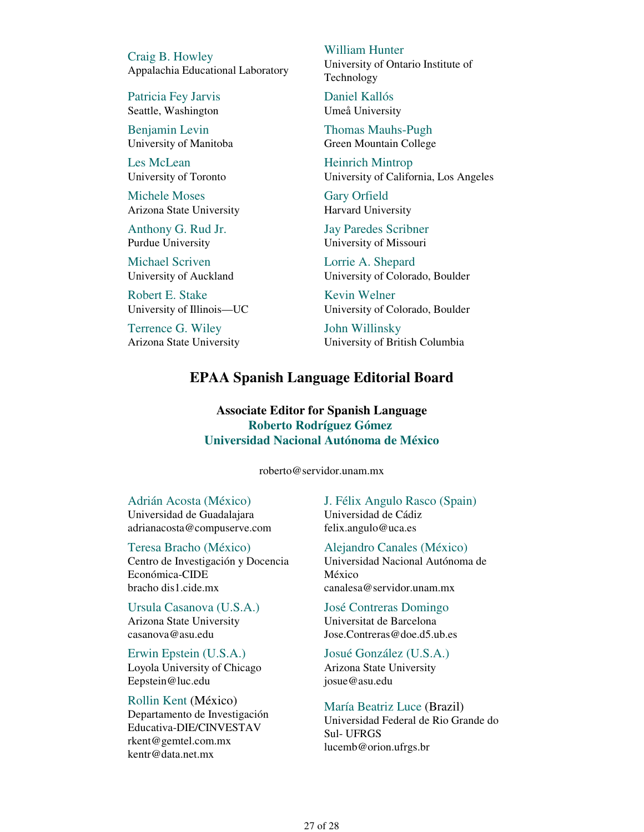Craig B. Howley Appalachia Educational Laboratory

Patricia Fey Jarvis Seattle, Washington

Benjamin Levin University of Manitoba

Les McLean University of Toronto

Michele Moses Arizona State University

Anthony G. Rud Jr. Purdue University

Michael Scriven University of Auckland

Robert E. Stake University of Illinois—UC

Terrence G. Wiley Arizona State University William Hunter University of Ontario Institute of Technology

Daniel Kallós Umeå University

Thomas Mauhs-Pugh Green Mountain College

Heinrich Mintrop University of California, Los Angeles

Gary Orfield Harvard University

Jay Paredes Scribner University of Missouri

Lorrie A. Shepard University of Colorado, Boulder

Kevin Welner University of Colorado, Boulder

John Willinsky University of British Columbia

### **EPAA Spanish Language Editorial Board**

**Associate Editor for Spanish Language Roberto Rodríguez Gómez Universidad Nacional Autónoma de México**

roberto@servidor.unam.mx

Adrián Acosta (México) Universidad de Guadalajara adrianacosta@compuserve.com

Teresa Bracho (México) Centro de Investigación y Docencia Económica-CIDE bracho dis1.cide.mx

Ursula Casanova (U.S.A.) Arizona State University casanova@asu.edu

Erwin Epstein (U.S.A.) Loyola University of Chicago Eepstein@luc.edu

Rollin Kent (México) Departamento de Investigación Educativa-DIE/CINVESTAV rkent@gemtel.com.mx kentr@data.net.mx

J. Félix Angulo Rasco (Spain) Universidad de Cádiz felix.angulo@uca.es

Alejandro Canales (México) Universidad Nacional Autónoma de México canalesa@servidor.unam.mx

José Contreras Domingo Universitat de Barcelona Jose.Contreras@doe.d5.ub.es

Josué González (U.S.A.) Arizona State University josue@asu.edu

María Beatriz Luce (Brazil) Universidad Federal de Rio Grande do Sul- UFRGS lucemb@orion.ufrgs.br